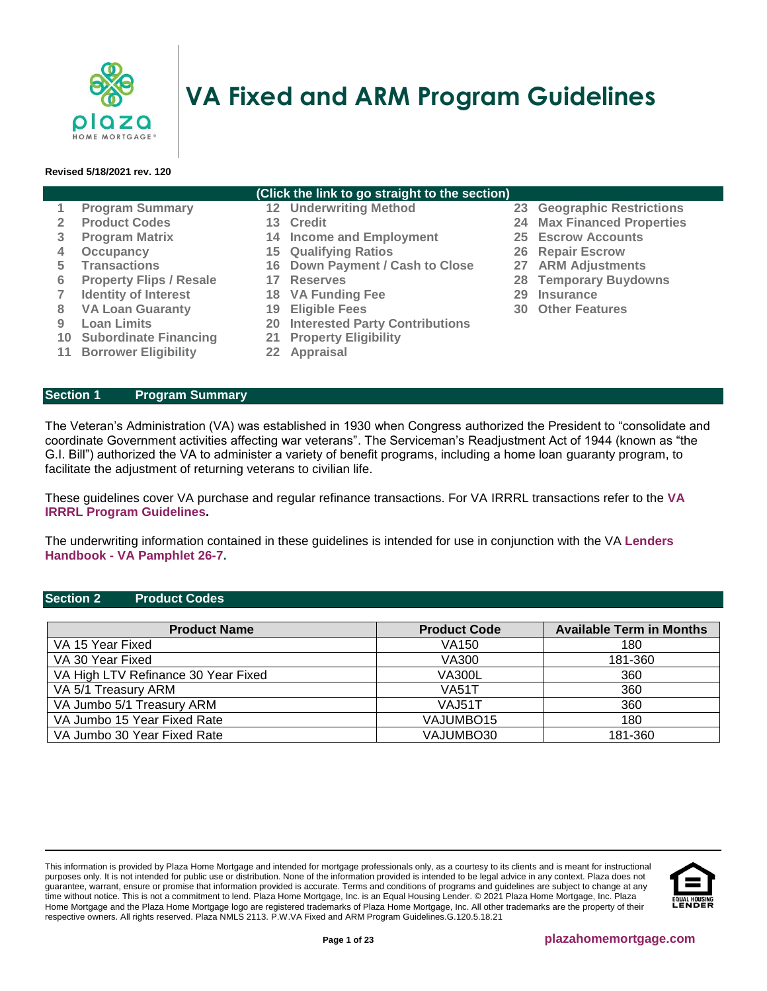

# **VA Fixed and ARM Program Guidelines**

#### **Revised 5/18/2021 rev. 120**

#### **(Click the link to go straight to the section)**

- 
- 
- **3 [Program Matrix](#page-1-0) 14 [Income and Employment](#page-9-0) 25 [Escrow Accounts](#page-19-2)**
- **4 [Occupancy](#page-1-1) 15 [Qualifying Ratios](#page-12-0) 26 [Repair Escrow](#page-20-0)**
- **5 [Transactions](#page-2-0) 16 [Down Payment / Cash to Close](#page-14-0) 27 [ARM Adjustments](#page-20-1)**
	-
- **7 [Identity of Interest](#page-4-0) 18 [VA Funding Fee](#page-15-1) 29 [Insurance](#page-21-0)**
- **8 [VA Loan Guaranty](#page-4-1) 19 [Eligible Fees](#page-16-0) 30 [Other Features](#page-21-1)**
- **9 [Loan Limits](#page-5-0) 20 [Interested Party Contributions](#page-16-1)**
- **10 [Subordinate Financing](#page-5-1) 21 [Property Eligibility](#page-17-0)**
- **11 [Borrower Eligibility](#page-6-0) 22 [Appraisal](#page-18-0)**
- **1 [Program Summary](#page-0-0) 12 [Underwriting Method](#page-7-0) 23 [Geographic Restrictions](#page-19-0)**
- **2 [Product Codes](#page-0-1) 13 [Credit](#page-7-1) 24 [Max Financed Properties](#page-19-1)**
	-
	-
	-
- **6 [Property Flips / Resale](#page-3-0) 17 [Reserves](#page-15-0) 28 [Temporary Buydowns](#page-20-2)**
	-
	-

<span id="page-0-0"></span>**Section 1 Program Summary**

The Veteran's Administration (VA) was established in 1930 when Congress authorized the President to "consolidate and coordinate Government activities affecting war veterans". The Serviceman's Readjustment Act of 1944 (known as "the G.I. Bill") authorized the VA to administer a variety of benefit programs, including a home loan guaranty program, to facilitate the adjustment of returning veterans to civilian life.

These guidelines cover VA purchase and regular refinance transactions. For VA IRRRL transactions refer to the **[VA](http://resourcecenter.plazahomemortgage.com/phmidocpublisher.nsf/All/BDDD51F69DF12CFC072579E3006E0482?OpenDocument)  IRRRL [Program Guidelines.](http://resourcecenter.plazahomemortgage.com/phmidocpublisher.nsf/All/BDDD51F69DF12CFC072579E3006E0482?OpenDocument)**

The underwriting information contained in these guidelines is intended for use in conjunction with the VA **[Lenders](http://www.benefits.va.gov/warms/pam26_7.asp)  Handbook - [VA Pamphlet 26-7.](http://www.benefits.va.gov/warms/pam26_7.asp)**

#### <span id="page-0-1"></span>**Section 2 Product Codes**

| <b>Product Name</b>                 | <b>Product Code</b>   | <b>Available Term in Months</b> |
|-------------------------------------|-----------------------|---------------------------------|
| VA 15 Year Fixed                    | VA150                 | 180                             |
| VA 30 Year Fixed                    | VA300                 | 181-360                         |
| VA High LTV Refinance 30 Year Fixed | <b>VA300L</b>         | 360                             |
| VA 5/1 Treasury ARM                 | <b>VA51T</b>          | 360                             |
| VA Jumbo 5/1 Treasury ARM           | VAJ51T                | 360                             |
| VA Jumbo 15 Year Fixed Rate         | VAJUMBO <sub>15</sub> | 180                             |
| VA Jumbo 30 Year Fixed Rate         | VAJUMBO30             | 181-360                         |

This information is provided by Plaza Home Mortgage and intended for mortgage professionals only, as a courtesy to its clients and is meant for instructional purposes only. It is not intended for public use or distribution. None of the information provided is intended to be legal advice in any context. Plaza does not guarantee, warrant, ensure or promise that information provided is accurate. Terms and conditions of programs and guidelines are subject to change at any time without notice. This is not a commitment to lend. Plaza Home Mortgage, Inc. is an Equal Housing Lender. © 2021 Plaza Home Mortgage, Inc. Plaza Home Mortgage and the Plaza Home Mortgage logo are registered trademarks of Plaza Home Mortgage, Inc. All other trademarks are the property of their respective owners. All rights reserved. Plaza NMLS 2113. P.W.VA Fixed and ARM Program Guidelines.G.120.5.18.21

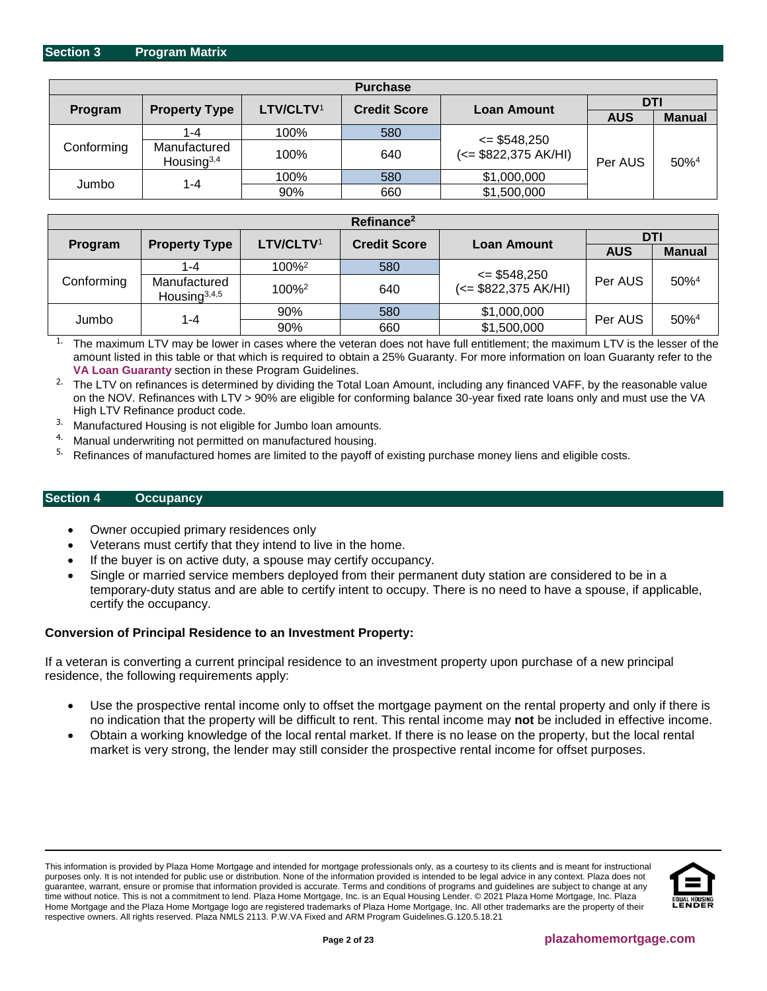<span id="page-1-0"></span>

| <b>Purchase</b> |                               |                       |                                           |                      |            |                  |
|-----------------|-------------------------------|-----------------------|-------------------------------------------|----------------------|------------|------------------|
| Program         |                               | LTV/CLTV <sup>1</sup> |                                           | DTI                  |            |                  |
|                 | <b>Property Type</b>          |                       | <b>Credit Score</b><br><b>Loan Amount</b> |                      | <b>AUS</b> | <b>Manual</b>    |
|                 | 1-4                           | 100%                  | 580                                       | $\le$ \$548,250      |            |                  |
| Conforming      | Manufactured<br>Housing $3,4$ | 100%                  | 640                                       | (<= \$822,375 AK/HI) | Per AUS    | 50% <sup>4</sup> |
| Jumbo           |                               | 100%                  | 580                                       | \$1,000,000          |            |                  |
|                 | 1-4                           | 90%                   | 660                                       | \$1,500,000          |            |                  |

| Refinance <sup>2</sup> |                                 |                       |                                           |                        |            |                     |
|------------------------|---------------------------------|-----------------------|-------------------------------------------|------------------------|------------|---------------------|
|                        |                                 | LTV/CLTV <sup>1</sup> |                                           |                        | DTI        |                     |
| Program                | <b>Property Type</b>            |                       | <b>Credit Score</b><br><b>Loan Amount</b> |                        | <b>AUS</b> | <b>Manual</b>       |
|                        | 1-4                             | $100\%^2$             | 580                                       | $\le$ \$548,250        |            |                     |
| Conforming             | Manufactured<br>Housing $3,4,5$ | 100% <sup>2</sup>     | 640                                       | $(<=$ \$822,375 AK/HI) | Per AUS    | $50\%$ <sup>4</sup> |
|                        |                                 | 90%                   | 580                                       | \$1,000,000            | Per AUS    | $50\%$ <sup>4</sup> |
| Jumbo                  | 1-4                             | 90%                   | 660                                       | \$1,500,000            |            |                     |

<sup>1.</sup> The maximum LTV may be lower in cases where the veteran does not have full entitlement; the maximum LTV is the lesser of the amount listed in this table or that which is required to obtain a 25% Guaranty. For more information on loan Guaranty refer to the **VA Loan Guaranty** section in these Program Guidelines.

<sup>2.</sup> The LTV on refinances is determined by dividing the Total Loan Amount, including any financed VAFF, by the reasonable value on the NOV. Refinances with LTV > 90% are eligible for conforming balance 30-year fixed rate loans only and must use the VA High LTV Refinance product code.

- <sup>3.</sup> Manufactured Housing is not eligible for Jumbo loan amounts.
- <sup>4.</sup> Manual underwriting not permitted on manufactured housing.<br> $\frac{5}{2}$ . Potipaneos of manufactured homes are limited to the novetted
- 5. Refinances of manufactured homes are limited to the payoff of existing purchase money liens and eligible costs.

# <span id="page-1-1"></span>**Section 4 Occupancy**

- Owner occupied primary residences only
- Veterans must certify that they intend to live in the home.
- If the buyer is on active duty, a spouse may certify occupancy.
- Single or married service members deployed from their permanent duty station are considered to be in a temporary-duty status and are able to certify intent to occupy. There is no need to have a spouse, if applicable, certify the occupancy.

## **Conversion of Principal Residence to an Investment Property:**

If a veteran is converting a current principal residence to an investment property upon purchase of a new principal residence, the following requirements apply:

- Use the prospective rental income only to offset the mortgage payment on the rental property and only if there is no indication that the property will be difficult to rent. This rental income may **not** be included in effective income.
- Obtain a working knowledge of the local rental market. If there is no lease on the property, but the local rental market is very strong, the lender may still consider the prospective rental income for offset purposes.

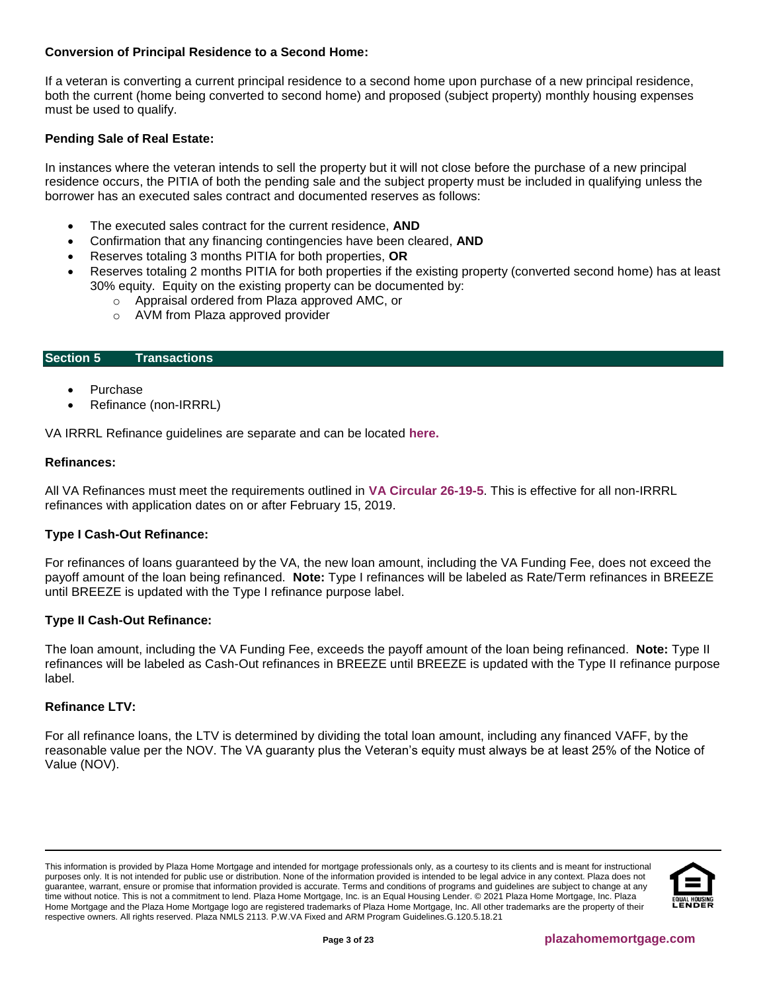# **Conversion of Principal Residence to a Second Home:**

If a veteran is converting a current principal residence to a second home upon purchase of a new principal residence, both the current (home being converted to second home) and proposed (subject property) monthly housing expenses must be used to qualify.

## **Pending Sale of Real Estate:**

In instances where the veteran intends to sell the property but it will not close before the purchase of a new principal residence occurs, the PITIA of both the pending sale and the subject property must be included in qualifying unless the borrower has an executed sales contract and documented reserves as follows:

- The executed sales contract for the current residence, **AND**
- Confirmation that any financing contingencies have been cleared, **AND**
- Reserves totaling 3 months PITIA for both properties, **OR**
- Reserves totaling 2 months PITIA for both properties if the existing property (converted second home) has at least 30% equity. Equity on the existing property can be documented by:
	- o Appraisal ordered from Plaza approved AMC, or
	- o AVM from Plaza approved provider

#### <span id="page-2-0"></span>**Section 5 Transactions**

- **Purchase**
- Refinance (non-IRRRL)

VA IRRRL Refinance guidelines are separate and can be located **[here.](http://resourcecenter.plazahomemortgage.com/phmidocpublisher.nsf/All/BDDD51F69DF12CFC072579E3006E0482?OpenDocument)**

#### **Refinances:**

All VA Refinances must meet the requirements outlined in **[VA Circular 26-19-5](https://www.benefits.va.gov/HOMELOANS/documents/circulars/26_19_5.pdf)**. This is effective for all non-IRRRL refinances with application dates on or after February 15, 2019.

## **Type I Cash-Out Refinance:**

For refinances of loans guaranteed by the VA, the new loan amount, including the VA Funding Fee, does not exceed the payoff amount of the loan being refinanced. **Note:** Type I refinances will be labeled as Rate/Term refinances in BREEZE until BREEZE is updated with the Type I refinance purpose label.

## **Type II Cash-Out Refinance:**

The loan amount, including the VA Funding Fee, exceeds the payoff amount of the loan being refinanced. **Note:** Type II refinances will be labeled as Cash-Out refinances in BREEZE until BREEZE is updated with the Type II refinance purpose label.

#### **Refinance LTV:**

For all refinance loans, the LTV is determined by dividing the total loan amount, including any financed VAFF, by the reasonable value per the NOV. The VA guaranty plus the Veteran's equity must always be at least 25% of the Notice of Value (NOV).

This information is provided by Plaza Home Mortgage and intended for mortgage professionals only, as a courtesy to its clients and is meant for instructional purposes only. It is not intended for public use or distribution. None of the information provided is intended to be legal advice in any context. Plaza does not guarantee, warrant, ensure or promise that information provided is accurate. Terms and conditions of programs and guidelines are subject to change at any time without notice. This is not a commitment to lend. Plaza Home Mortgage, Inc. is an Equal Housing Lender. © 2021 Plaza Home Mortgage, Inc. Plaza Home Mortgage and the Plaza Home Mortgage logo are registered trademarks of Plaza Home Mortgage, Inc. All other trademarks are the property of their respective owners. All rights reserved. Plaza NMLS 2113. P.W.VA Fixed and ARM Program Guidelines.G.120.5.18.21

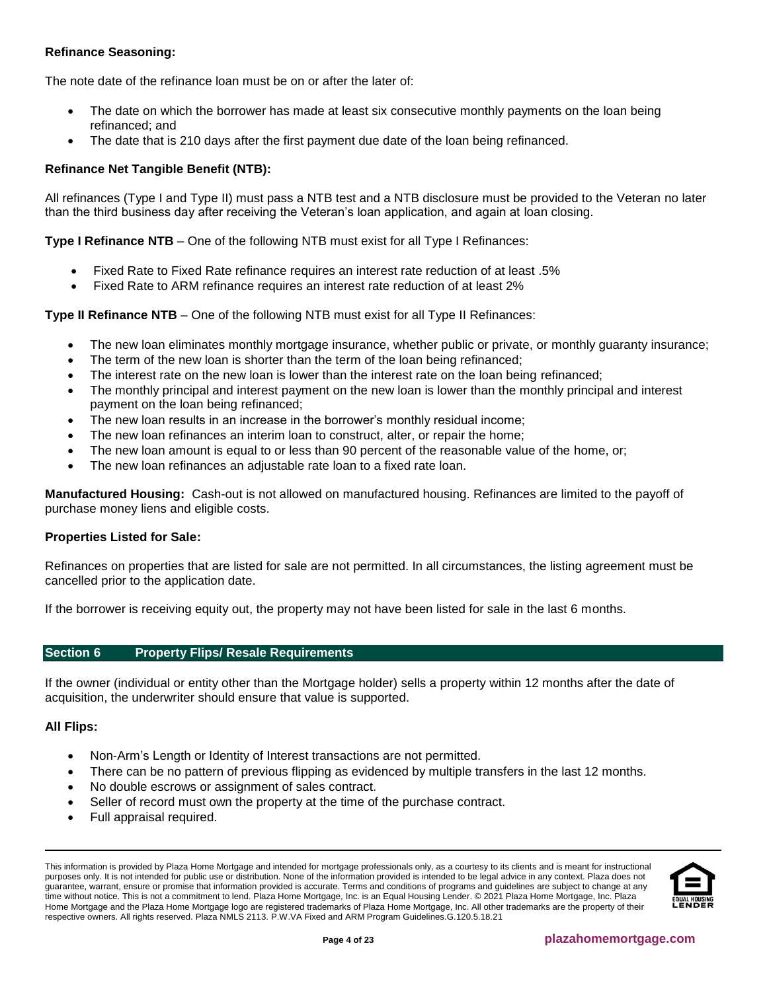# **Refinance Seasoning:**

The note date of the refinance loan must be on or after the later of:

- The date on which the borrower has made at least six consecutive monthly payments on the loan being refinanced; and
- The date that is 210 days after the first payment due date of the loan being refinanced.

# **Refinance Net Tangible Benefit (NTB):**

All refinances (Type I and Type II) must pass a NTB test and a NTB disclosure must be provided to the Veteran no later than the third business day after receiving the Veteran's loan application, and again at loan closing.

**Type I Refinance NTB** – One of the following NTB must exist for all Type I Refinances:

- Fixed Rate to Fixed Rate refinance requires an interest rate reduction of at least .5%
- Fixed Rate to ARM refinance requires an interest rate reduction of at least 2%

**Type II Refinance NTB** – One of the following NTB must exist for all Type II Refinances:

- The new loan eliminates monthly mortgage insurance, whether public or private, or monthly guaranty insurance;
- The term of the new loan is shorter than the term of the loan being refinanced:
- The interest rate on the new loan is lower than the interest rate on the loan being refinanced;
- The monthly principal and interest payment on the new loan is lower than the monthly principal and interest payment on the loan being refinanced;
- The new loan results in an increase in the borrower's monthly residual income;
- The new loan refinances an interim loan to construct, alter, or repair the home;
- The new loan amount is equal to or less than 90 percent of the reasonable value of the home, or;
- The new loan refinances an adjustable rate loan to a fixed rate loan.

**Manufactured Housing:** Cash-out is not allowed on manufactured housing. Refinances are limited to the payoff of purchase money liens and eligible costs.

## **Properties Listed for Sale:**

Refinances on properties that are listed for sale are not permitted. In all circumstances, the listing agreement must be cancelled prior to the application date.

If the borrower is receiving equity out, the property may not have been listed for sale in the last 6 months.

# <span id="page-3-0"></span>**Section 6 Property Flips/ Resale Requirements**

If the owner (individual or entity other than the Mortgage holder) sells a property within 12 months after the date of acquisition, the underwriter should ensure that value is supported.

## **All Flips:**

- Non-Arm's Length or Identity of Interest transactions are not permitted.
- There can be no pattern of previous flipping as evidenced by multiple transfers in the last 12 months.
- No double escrows or assignment of sales contract.
- Seller of record must own the property at the time of the purchase contract.
- Full appraisal required.

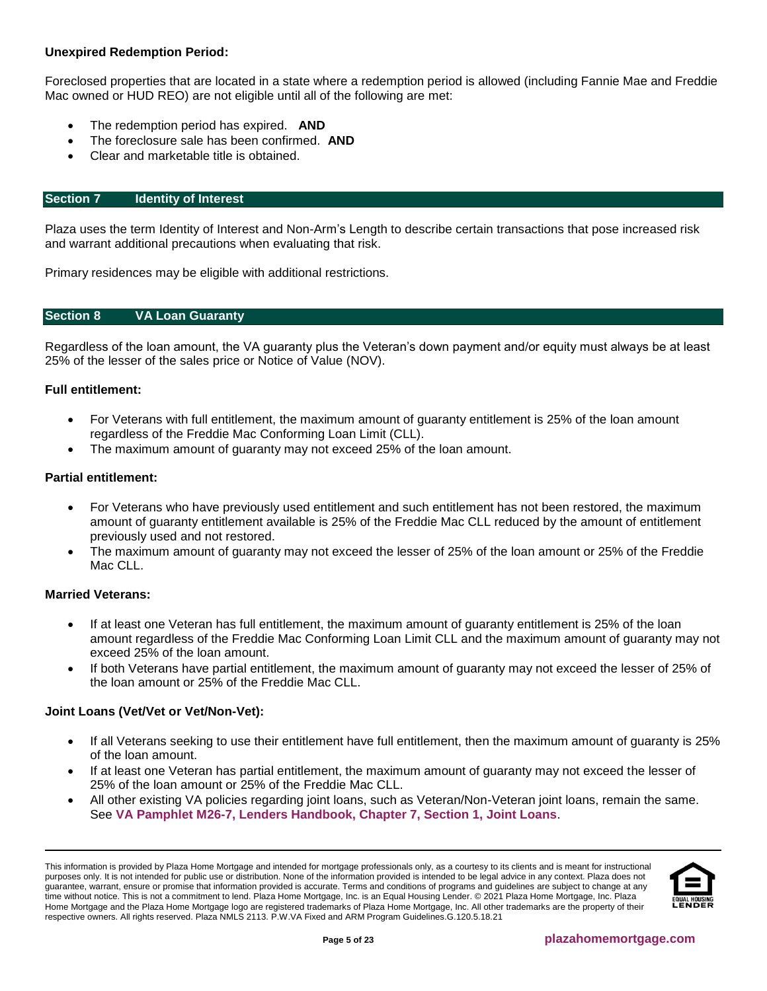# **Unexpired Redemption Period:**

Foreclosed properties that are located in a state where a redemption period is allowed (including Fannie Mae and Freddie Mac owned or HUD REO) are not eligible until all of the following are met:

- The redemption period has expired. **AND**
- The foreclosure sale has been confirmed. **AND**
- Clear and marketable title is obtained.

## <span id="page-4-0"></span>**Section 7 Identity of Interest**

Plaza uses the term Identity of Interest and Non-Arm's Length to describe certain transactions that pose increased risk and warrant additional precautions when evaluating that risk.

Primary residences may be eligible with additional restrictions.

## <span id="page-4-1"></span>**Section 8 VA Loan Guaranty**

Regardless of the loan amount, the VA guaranty plus the Veteran's down payment and/or equity must always be at least 25% of the lesser of the sales price or Notice of Value (NOV).

## **Full entitlement:**

- For Veterans with full entitlement, the maximum amount of guaranty entitlement is 25% of the loan amount regardless of the Freddie Mac Conforming Loan Limit (CLL).
- The maximum amount of guaranty may not exceed 25% of the loan amount.

# **Partial entitlement:**

- For Veterans who have previously used entitlement and such entitlement has not been restored, the maximum amount of guaranty entitlement available is 25% of the Freddie Mac CLL reduced by the amount of entitlement previously used and not restored.
- The maximum amount of guaranty may not exceed the lesser of 25% of the loan amount or 25% of the Freddie Mac CLL.

## **Married Veterans:**

- If at least one Veteran has full entitlement, the maximum amount of guaranty entitlement is 25% of the loan amount regardless of the Freddie Mac Conforming Loan Limit CLL and the maximum amount of guaranty may not exceed 25% of the loan amount.
- If both Veterans have partial entitlement, the maximum amount of guaranty may not exceed the lesser of 25% of the loan amount or 25% of the Freddie Mac CLL.

## **Joint Loans (Vet/Vet or Vet/Non-Vet):**

- If all Veterans seeking to use their entitlement have full entitlement, then the maximum amount of guaranty is 25% of the loan amount.
- If at least one Veteran has partial entitlement, the maximum amount of guaranty may not exceed the lesser of 25% of the loan amount or 25% of the Freddie Mac CLL.
- All other existing VA policies regarding joint loans, such as Veteran/Non-Veteran joint loans, remain the same. See **[VA Pamphlet M26-7, Lenders Handbook, Chapter 7, Section 1, Joint Loans](https://benefits.va.gov/WARMS/docs/admin26/m26-07/Ch7_Special_Handling_NEW.docx)**.

This information is provided by Plaza Home Mortgage and intended for mortgage professionals only, as a courtesy to its clients and is meant for instructional purposes only. It is not intended for public use or distribution. None of the information provided is intended to be legal advice in any context. Plaza does not guarantee, warrant, ensure or promise that information provided is accurate. Terms and conditions of programs and guidelines are subject to change at any time without notice. This is not a commitment to lend. Plaza Home Mortgage, Inc. is an Equal Housing Lender. © 2021 Plaza Home Mortgage, Inc. Plaza Home Mortgage and the Plaza Home Mortgage logo are registered trademarks of Plaza Home Mortgage, Inc. All other trademarks are the property of their respective owners. All rights reserved. Plaza NMLS 2113. P.W.VA Fixed and ARM Program Guidelines.G.120.5.18.21

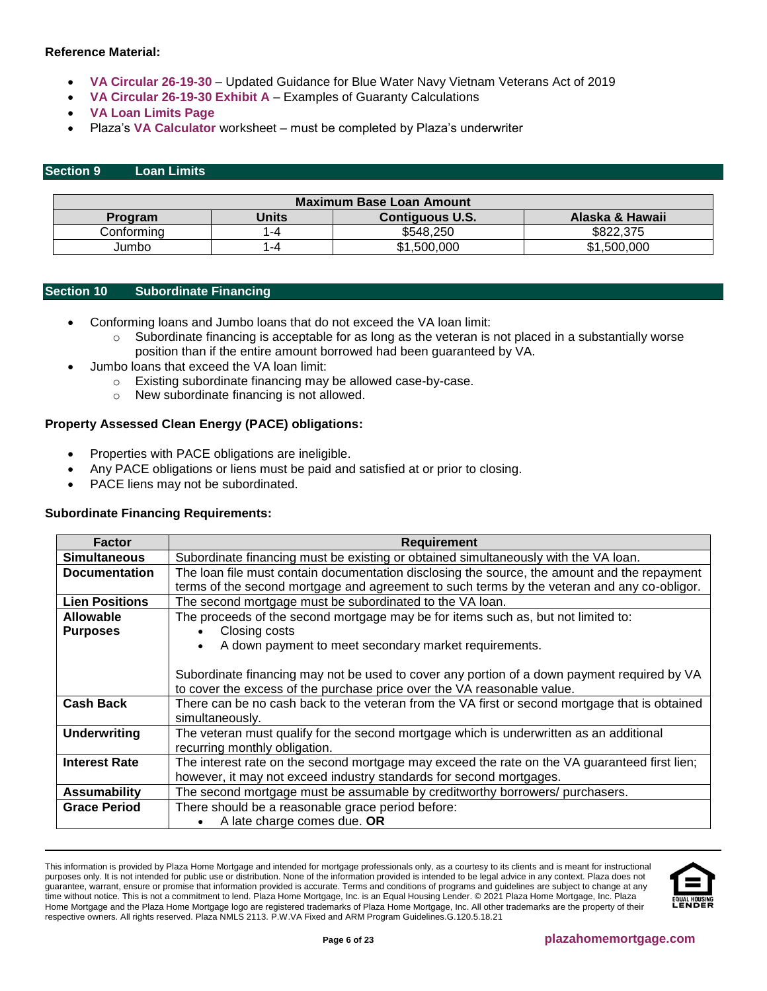## **Reference Material:**

- **[VA Circular 26-19-30](https://www.benefits.va.gov/HOMELOANS/documents/circulars/26_19_30.pdf)** Updated Guidance for Blue Water Navy Vietnam Veterans Act of 2019
- **[VA Circular 26-19-30 Exhibit A](https://www.benefits.va.gov/homeloans/documents/circulars/26_19_30_exhibita.pdf)** Examples of Guaranty Calculations
- **[VA Loan Limits Page](https://www.benefits.va.gov/HOMELOANS/purchaseco_loan_limits.asp)**
- Plaza's **[VA Calculator](http://resourcecenter.plazahomemortgage.com/phmidocpublisher.nsf/All/7AC0B2AC1E2F276107257AF5006957B2?OpenDocument)** worksheet must be completed by Plaza's underwriter

## <span id="page-5-0"></span>**Section 9 Loan Limits**

| Maximum Base Loan Amount                                             |                                    |           |           |  |  |  |
|----------------------------------------------------------------------|------------------------------------|-----------|-----------|--|--|--|
| Alaska & Hawaii<br>Units<br><b>Contiguous U.S.</b><br><b>Program</b> |                                    |           |           |  |  |  |
| Conformina                                                           | l –4                               | \$548.250 | \$822,375 |  |  |  |
| Jumbo                                                                | \$1,500,000<br>\$1,500,000<br>l –4 |           |           |  |  |  |

#### <span id="page-5-1"></span>**Section 10 Subordinate Financing**

- Conforming loans and Jumbo loans that do not exceed the VA loan limit:
	- $\circ$  Subordinate financing is acceptable for as long as the veteran is not placed in a substantially worse position than if the entire amount borrowed had been guaranteed by VA.
	- Jumbo loans that exceed the VA loan limit:
		- o Existing subordinate financing may be allowed case-by-case.
		- o New subordinate financing is not allowed.

## **Property Assessed Clean Energy (PACE) obligations:**

- Properties with PACE obligations are ineligible.
- Any PACE obligations or liens must be paid and satisfied at or prior to closing.
- PACE liens may not be subordinated.

## **Subordinate Financing Requirements:**

| <b>Factor</b>         | <b>Requirement</b>                                                                             |
|-----------------------|------------------------------------------------------------------------------------------------|
| <b>Simultaneous</b>   | Subordinate financing must be existing or obtained simultaneously with the VA loan.            |
| <b>Documentation</b>  | The loan file must contain documentation disclosing the source, the amount and the repayment   |
|                       | terms of the second mortgage and agreement to such terms by the veteran and any co-obligor.    |
| <b>Lien Positions</b> | The second mortgage must be subordinated to the VA loan.                                       |
| <b>Allowable</b>      | The proceeds of the second mortgage may be for items such as, but not limited to:              |
| <b>Purposes</b>       | Closing costs                                                                                  |
|                       | A down payment to meet secondary market requirements.<br>$\bullet$                             |
|                       |                                                                                                |
|                       | Subordinate financing may not be used to cover any portion of a down payment required by VA    |
|                       | to cover the excess of the purchase price over the VA reasonable value.                        |
| <b>Cash Back</b>      | There can be no cash back to the veteran from the VA first or second mortgage that is obtained |
|                       | simultaneously.                                                                                |
| <b>Underwriting</b>   | The veteran must qualify for the second mortgage which is underwritten as an additional        |
|                       | recurring monthly obligation.                                                                  |
| <b>Interest Rate</b>  | The interest rate on the second mortgage may exceed the rate on the VA guaranteed first lien;  |
|                       | however, it may not exceed industry standards for second mortgages.                            |
| <b>Assumability</b>   | The second mortgage must be assumable by creditworthy borrowers/ purchasers.                   |
| <b>Grace Period</b>   | There should be a reasonable grace period before:                                              |
|                       | A late charge comes due. OR                                                                    |

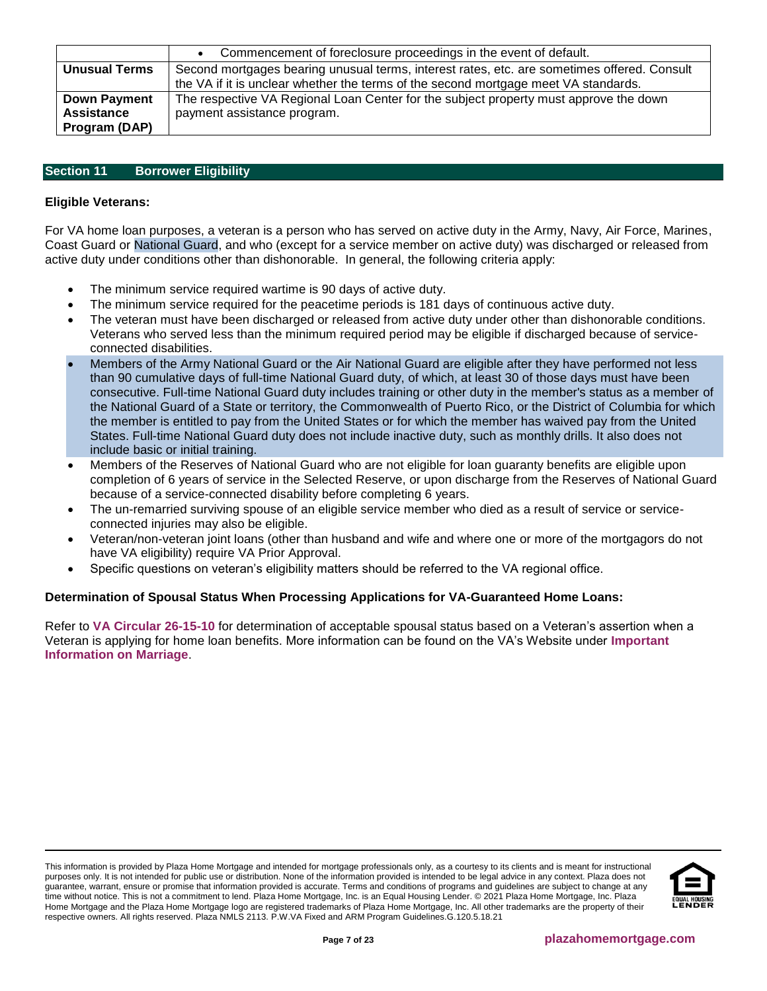|                      | Commencement of foreclosure proceedings in the event of default.                            |
|----------------------|---------------------------------------------------------------------------------------------|
| <b>Unusual Terms</b> | Second mortgages bearing unusual terms, interest rates, etc. are sometimes offered. Consult |
|                      | the VA if it is unclear whether the terms of the second mortgage meet VA standards.         |
| <b>Down Payment</b>  | The respective VA Regional Loan Center for the subject property must approve the down       |
| <b>Assistance</b>    | payment assistance program.                                                                 |
| Program (DAP)        |                                                                                             |

## <span id="page-6-0"></span>**Section 11 Borrower Eligibility**

## **Eligible Veterans:**

For VA home loan purposes, a veteran is a person who has served on active duty in the Army, Navy, Air Force, Marines, Coast Guard or National Guard, and who (except for a service member on active duty) was discharged or released from active duty under conditions other than dishonorable. In general, the following criteria apply:

- The minimum service required wartime is 90 days of active duty.
- The minimum service required for the peacetime periods is 181 days of continuous active duty.
- The veteran must have been discharged or released from active duty under other than dishonorable conditions. Veterans who served less than the minimum required period may be eligible if discharged because of serviceconnected disabilities.
- Members of the Army National Guard or the Air National Guard are eligible after they have performed not less than 90 cumulative days of full-time National Guard duty, of which, at least 30 of those days must have been consecutive. Full-time National Guard duty includes training or other duty in the member's status as a member of the National Guard of a State or territory, the Commonwealth of Puerto Rico, or the District of Columbia for which the member is entitled to pay from the United States or for which the member has waived pay from the United States. Full-time National Guard duty does not include inactive duty, such as monthly drills. It also does not include basic or initial training.
- Members of the Reserves of National Guard who are not eligible for loan guaranty benefits are eligible upon completion of 6 years of service in the Selected Reserve, or upon discharge from the Reserves of National Guard because of a service-connected disability before completing 6 years.
- The un-remarried surviving spouse of an eligible service member who died as a result of service or serviceconnected injuries may also be eligible.
- Veteran/non-veteran joint loans (other than husband and wife and where one or more of the mortgagors do not have VA eligibility) require VA Prior Approval.
- Specific questions on veteran's eligibility matters should be referred to the VA regional office.

## **Determination of Spousal Status When Processing Applications for VA-Guaranteed Home Loans:**

Refer to **VA [Circular 26-15-10](http://www.benefits.va.gov/HOMELOANS/documents/circulars/26_15_10.pdf)** for determination of acceptable spousal status based on a Veteran's assertion when a Veteran is applying for home loan benefits. More information can be found on the VA's Website under **[Important](http://www.va.gov/opa/marriage/)  [Information on Marriage](http://www.va.gov/opa/marriage/)**.

This information is provided by Plaza Home Mortgage and intended for mortgage professionals only, as a courtesy to its clients and is meant for instructional purposes only. It is not intended for public use or distribution. None of the information provided is intended to be legal advice in any context. Plaza does not guarantee, warrant, ensure or promise that information provided is accurate. Terms and conditions of programs and guidelines are subject to change at any time without notice. This is not a commitment to lend. Plaza Home Mortgage, Inc. is an Equal Housing Lender. © 2021 Plaza Home Mortgage, Inc. Plaza Home Mortgage and the Plaza Home Mortgage logo are registered trademarks of Plaza Home Mortgage, Inc. All other trademarks are the property of their respective owners. All rights reserved. Plaza NMLS 2113. P.W.VA Fixed and ARM Program Guidelines.G.120.5.18.21

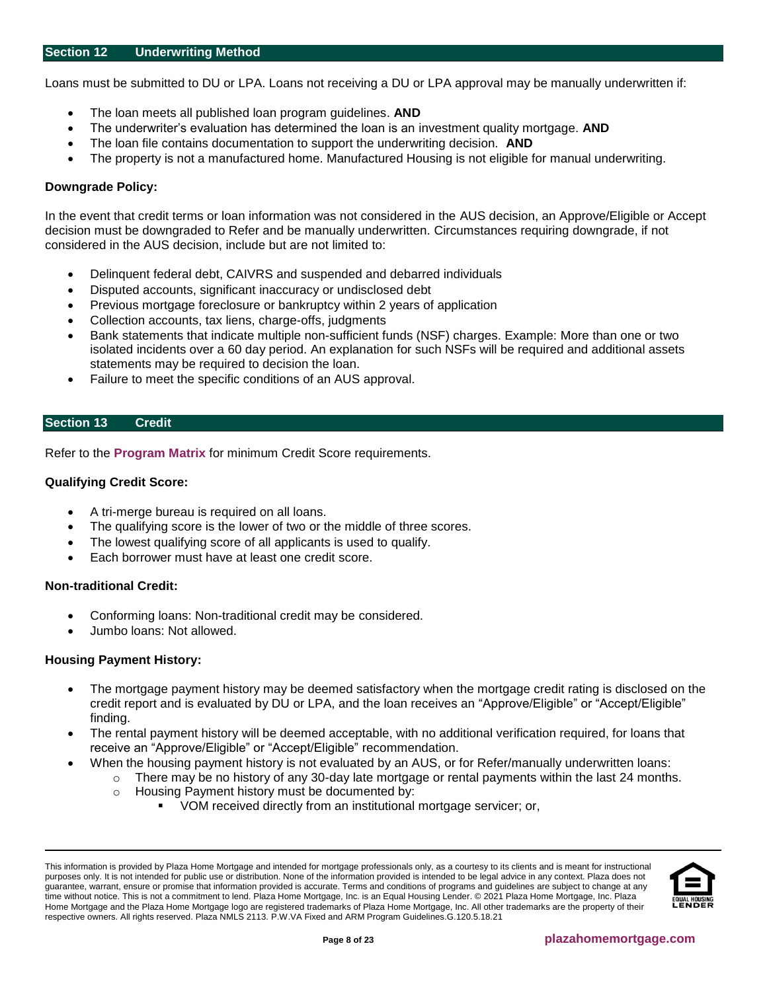#### <span id="page-7-0"></span>**Section 12 Underwriting Method**

Loans must be submitted to DU or LPA. Loans not receiving a DU or LPA approval may be manually underwritten if:

- The loan meets all published loan program guidelines. **AND**
- The underwriter's evaluation has determined the loan is an investment quality mortgage. **AND**
- The loan file contains documentation to support the underwriting decision. **AND**
- The property is not a manufactured home. Manufactured Housing is not eligible for manual underwriting.

## **Downgrade Policy:**

In the event that credit terms or loan information was not considered in the AUS decision, an Approve/Eligible or Accept decision must be downgraded to Refer and be manually underwritten. Circumstances requiring downgrade, if not considered in the AUS decision, include but are not limited to:

- Delinquent federal debt, CAIVRS and suspended and debarred individuals
- Disputed accounts, significant inaccuracy or undisclosed debt
- Previous mortgage foreclosure or bankruptcy within 2 years of application
- Collection accounts, tax liens, charge-offs, judgments
- Bank statements that indicate multiple non-sufficient funds (NSF) charges. Example: More than one or two isolated incidents over a 60 day period. An explanation for such NSFs will be required and additional assets statements may be required to decision the loan.
- Failure to meet the specific conditions of an AUS approval.

## <span id="page-7-1"></span>**Section 13 Credit**

Refer to the **[Program Matrix](#page-1-0)** for minimum Credit Score requirements.

# **Qualifying Credit Score:**

- A tri-merge bureau is required on all loans.
- The qualifying score is the lower of two or the middle of three scores.
- The lowest qualifying score of all applicants is used to qualify.
- Each borrower must have at least one credit score.

## **Non-traditional Credit:**

- Conforming loans: Non-traditional credit may be considered.
- Jumbo loans: Not allowed.

## **Housing Payment History:**

- The mortgage payment history may be deemed satisfactory when the mortgage credit rating is disclosed on the credit report and is evaluated by DU or LPA, and the loan receives an "Approve/Eligible" or "Accept/Eligible" finding.
- The rental payment history will be deemed acceptable, with no additional verification required, for loans that receive an "Approve/Eligible" or "Accept/Eligible" recommendation.
- When the housing payment history is not evaluated by an AUS, or for Refer/manually underwritten loans:
	- o There may be no history of any 30-day late mortgage or rental payments within the last 24 months.
		- o Housing Payment history must be documented by:
			- VOM received directly from an institutional mortgage servicer; or,

This information is provided by Plaza Home Mortgage and intended for mortgage professionals only, as a courtesy to its clients and is meant for instructional purposes only. It is not intended for public use or distribution. None of the information provided is intended to be legal advice in any context. Plaza does not guarantee, warrant, ensure or promise that information provided is accurate. Terms and conditions of programs and guidelines are subject to change at any time without notice. This is not a commitment to lend. Plaza Home Mortgage, Inc. is an Equal Housing Lender. © 2021 Plaza Home Mortgage, Inc. Plaza Home Mortgage and the Plaza Home Mortgage logo are registered trademarks of Plaza Home Mortgage, Inc. All other trademarks are the property of their respective owners. All rights reserved. Plaza NMLS 2113. P.W.VA Fixed and ARM Program Guidelines.G.120.5.18.21

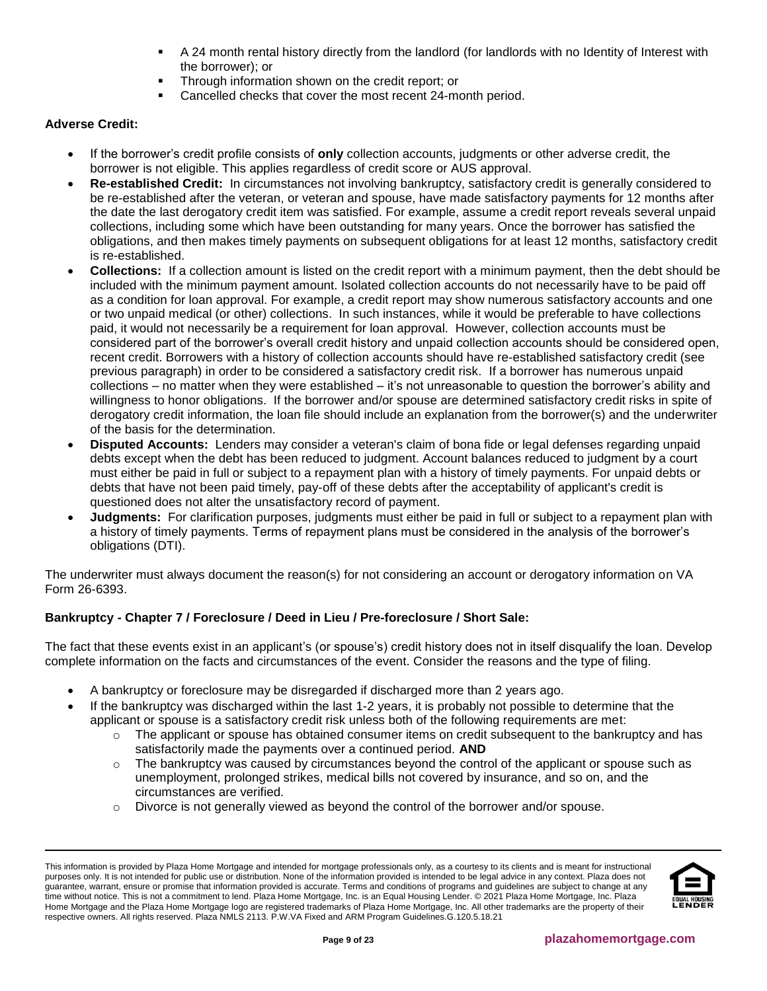- A 24 month rental history directly from the landlord (for landlords with no Identity of Interest with the borrower); or
- Through information shown on the credit report; or
- Cancelled checks that cover the most recent 24-month period.

# **Adverse Credit:**

- If the borrower's credit profile consists of **only** collection accounts, judgments or other adverse credit, the borrower is not eligible. This applies regardless of credit score or AUS approval.
- **Re-established Credit:** In circumstances not involving bankruptcy, satisfactory credit is generally considered to be re-established after the veteran, or veteran and spouse, have made satisfactory payments for 12 months after the date the last derogatory credit item was satisfied. For example, assume a credit report reveals several unpaid collections, including some which have been outstanding for many years. Once the borrower has satisfied the obligations, and then makes timely payments on subsequent obligations for at least 12 months, satisfactory credit is re-established.
- **Collections:** If a collection amount is listed on the credit report with a minimum payment, then the debt should be included with the minimum payment amount. Isolated collection accounts do not necessarily have to be paid off as a condition for loan approval. For example, a credit report may show numerous satisfactory accounts and one or two unpaid medical (or other) collections. In such instances, while it would be preferable to have collections paid, it would not necessarily be a requirement for loan approval. However, collection accounts must be considered part of the borrower's overall credit history and unpaid collection accounts should be considered open, recent credit. Borrowers with a history of collection accounts should have re-established satisfactory credit (see previous paragraph) in order to be considered a satisfactory credit risk. If a borrower has numerous unpaid collections – no matter when they were established – it's not unreasonable to question the borrower's ability and willingness to honor obligations. If the borrower and/or spouse are determined satisfactory credit risks in spite of derogatory credit information, the loan file should include an explanation from the borrower(s) and the underwriter of the basis for the determination.
- **Disputed Accounts:** Lenders may consider a veteran's claim of bona fide or legal defenses regarding unpaid debts except when the debt has been reduced to judgment. Account balances reduced to judgment by a court must either be paid in full or subject to a repayment plan with a history of timely payments. For unpaid debts or debts that have not been paid timely, pay-off of these debts after the acceptability of applicant's credit is questioned does not alter the unsatisfactory record of payment.
- **Judgments:** For clarification purposes, judgments must either be paid in full or subject to a repayment plan with a history of timely payments. Terms of repayment plans must be considered in the analysis of the borrower's obligations (DTI).

The underwriter must always document the reason(s) for not considering an account or derogatory information on VA Form 26-6393.

# **Bankruptcy - Chapter 7 / Foreclosure / Deed in Lieu / Pre-foreclosure / Short Sale:**

The fact that these events exist in an applicant's (or spouse's) credit history does not in itself disqualify the loan. Develop complete information on the facts and circumstances of the event. Consider the reasons and the type of filing.

- A bankruptcy or foreclosure may be disregarded if discharged more than 2 years ago.
- If the bankruptcy was discharged within the last 1-2 years, it is probably not possible to determine that the applicant or spouse is a satisfactory credit risk unless both of the following requirements are met:
	- $\circ$  The applicant or spouse has obtained consumer items on credit subsequent to the bankruptcy and has satisfactorily made the payments over a continued period. **AND**
	- $\circ$  The bankruptcy was caused by circumstances beyond the control of the applicant or spouse such as unemployment, prolonged strikes, medical bills not covered by insurance, and so on, and the circumstances are verified.
	- $\circ$  Divorce is not generally viewed as beyond the control of the borrower and/or spouse.

This information is provided by Plaza Home Mortgage and intended for mortgage professionals only, as a courtesy to its clients and is meant for instructional purposes only. It is not intended for public use or distribution. None of the information provided is intended to be legal advice in any context. Plaza does not guarantee, warrant, ensure or promise that information provided is accurate. Terms and conditions of programs and guidelines are subject to change at any time without notice. This is not a commitment to lend. Plaza Home Mortgage, Inc. is an Equal Housing Lender. © 2021 Plaza Home Mortgage, Inc. Plaza Home Mortgage and the Plaza Home Mortgage logo are registered trademarks of Plaza Home Mortgage, Inc. All other trademarks are the property of their respective owners. All rights reserved. Plaza NMLS 2113. P.W.VA Fixed and ARM Program Guidelines.G.120.5.18.21

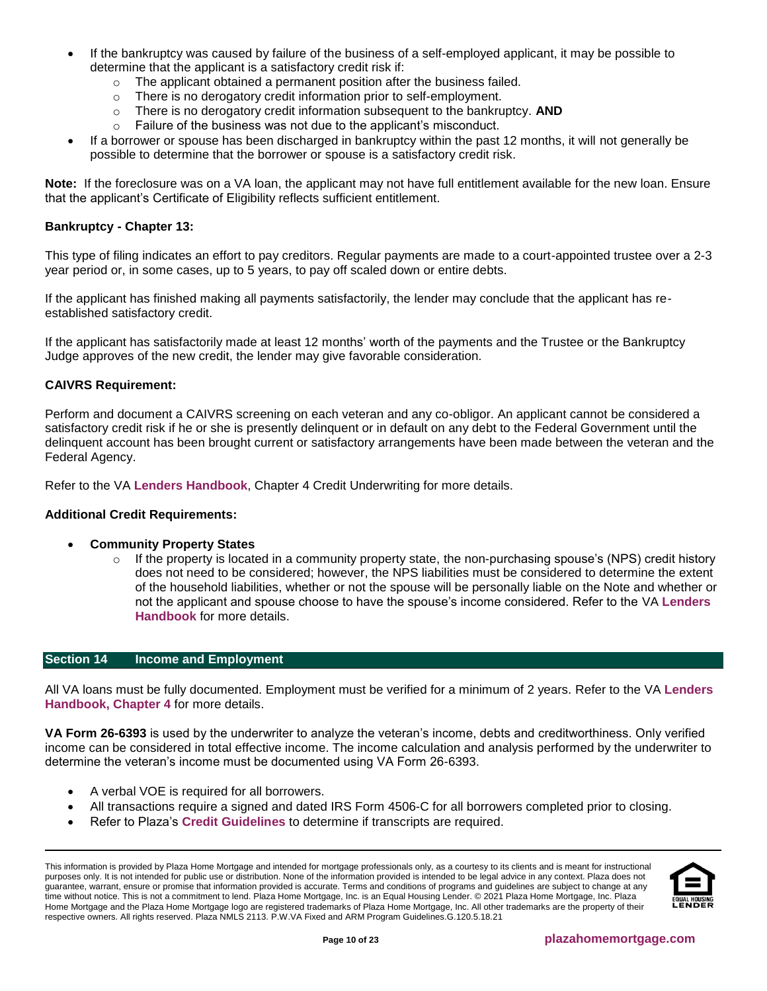- If the bankruptcy was caused by failure of the business of a self-employed applicant, it may be possible to determine that the applicant is a satisfactory credit risk if:
	- o The applicant obtained a permanent position after the business failed.
	- o There is no derogatory credit information prior to self-employment.
	- o There is no derogatory credit information subsequent to the bankruptcy. **AND**
	- $\circ$  Failure of the business was not due to the applicant's misconduct.
- If a borrower or spouse has been discharged in bankruptcy within the past 12 months, it will not generally be possible to determine that the borrower or spouse is a satisfactory credit risk.

**Note:** If the foreclosure was on a VA loan, the applicant may not have full entitlement available for the new loan. Ensure that the applicant's Certificate of Eligibility reflects sufficient entitlement.

#### **Bankruptcy - Chapter 13:**

This type of filing indicates an effort to pay creditors. Regular payments are made to a court-appointed trustee over a 2-3 year period or, in some cases, up to 5 years, to pay off scaled down or entire debts.

If the applicant has finished making all payments satisfactorily, the lender may conclude that the applicant has reestablished satisfactory credit.

If the applicant has satisfactorily made at least 12 months' worth of the payments and the Trustee or the Bankruptcy Judge approves of the new credit, the lender may give favorable consideration.

# **CAIVRS Requirement:**

Perform and document a CAIVRS screening on each veteran and any co-obligor. An applicant cannot be considered a satisfactory credit risk if he or she is presently delinquent or in default on any debt to the Federal Government until the delinquent account has been brought current or satisfactory arrangements have been made between the veteran and the Federal Agency.

Refer to the VA **[Lenders Handbook](http://www.benefits.va.gov/warms/pam26_7.asp)**, Chapter 4 Credit Underwriting for more details.

#### **Additional Credit Requirements:**

- **Community Property States**
	- $\circ$  If the property is located in a community property state, the non-purchasing spouse's (NPS) credit history does not need to be considered; however, the NPS liabilities must be considered to determine the extent of the household liabilities, whether or not the spouse will be personally liable on the Note and whether or not the applicant and spouse choose to have the spouse's income considered. Refer to the VA **[Lenders](http://www.benefits.va.gov/warms/pam26_7.asp)  [Handbook](http://www.benefits.va.gov/warms/pam26_7.asp)** for more details.

#### <span id="page-9-0"></span>**Section 14 Income and Employment**

All VA loans must be fully documented. Employment must be verified for a minimum of 2 years. Refer to the VA **[Lenders](http://www.benefits.va.gov/warms/pam26_7.asp) [Handbook, Chapter 4](http://www.benefits.va.gov/warms/pam26_7.asp)** for more details.

**[VA Form 26-6393](http://www.vba.va.gov/pubs/forms/VBA-26-6393-ARE.pdf)** is used by the underwriter to analyze the veteran's income, debts and creditworthiness. Only verified income can be considered in total effective income. The income calculation and analysis performed by the underwriter to determine the veteran's income must be documented using VA Form 26-6393.

- A verbal VOE is required for all borrowers.
- All transactions require a signed and dated IRS Form 4506-C for all borrowers completed prior to closing.
- Refer to Plaza's **[Credit Guidelines](https://resourcecenter.plazahomemortgage.com/whocli/all/ec8a4379a5da48c807257cbc0054308f?opendocument)** to determine if transcripts are required.

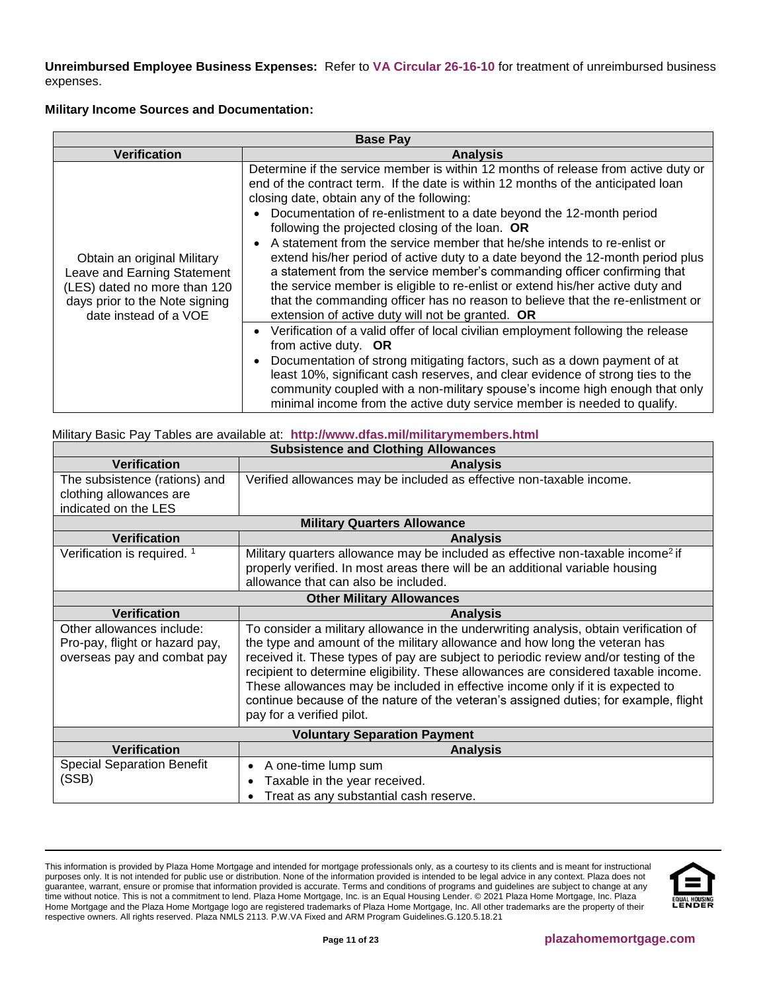**Unreimbursed Employee Business Expenses:** Refer to **[VA Circular 26-16-10](http://www.benefits.va.gov/HOMELOANS/documents/circulars/26_16_10.pdf)** for treatment of unreimbursed business expenses.

## **Military Income Sources and Documentation:**

| <b>Base Pay</b>                                                                                                                                       |                                                                                                                                                                                                                                                                                                                                                                                                                                                                                                                                                                                                                                                                                                                                                                                                                                                                                                                                                                                                                                                                                                                                                                                                                                                      |  |  |
|-------------------------------------------------------------------------------------------------------------------------------------------------------|------------------------------------------------------------------------------------------------------------------------------------------------------------------------------------------------------------------------------------------------------------------------------------------------------------------------------------------------------------------------------------------------------------------------------------------------------------------------------------------------------------------------------------------------------------------------------------------------------------------------------------------------------------------------------------------------------------------------------------------------------------------------------------------------------------------------------------------------------------------------------------------------------------------------------------------------------------------------------------------------------------------------------------------------------------------------------------------------------------------------------------------------------------------------------------------------------------------------------------------------------|--|--|
| <b>Verification</b>                                                                                                                                   | <b>Analysis</b>                                                                                                                                                                                                                                                                                                                                                                                                                                                                                                                                                                                                                                                                                                                                                                                                                                                                                                                                                                                                                                                                                                                                                                                                                                      |  |  |
| Obtain an original Military<br>Leave and Earning Statement<br>(LES) dated no more than 120<br>days prior to the Note signing<br>date instead of a VOE | Determine if the service member is within 12 months of release from active duty or<br>end of the contract term. If the date is within 12 months of the anticipated loan<br>closing date, obtain any of the following:<br>Documentation of re-enlistment to a date beyond the 12-month period<br>following the projected closing of the loan. OR<br>A statement from the service member that he/she intends to re-enlist or<br>extend his/her period of active duty to a date beyond the 12-month period plus<br>a statement from the service member's commanding officer confirming that<br>the service member is eligible to re-enlist or extend his/her active duty and<br>that the commanding officer has no reason to believe that the re-enlistment or<br>extension of active duty will not be granted. OR<br>Verification of a valid offer of local civilian employment following the release<br>from active duty. OR<br>Documentation of strong mitigating factors, such as a down payment of at<br>least 10%, significant cash reserves, and clear evidence of strong ties to the<br>community coupled with a non-military spouse's income high enough that only<br>minimal income from the active duty service member is needed to qualify. |  |  |

# Military Basic Pay Tables are available at: **<http://www.dfas.mil/militarymembers.html>**

|                                                                                            | <b>Subsistence and Clothing Allowances</b>                                                                                                                                                                                                                                                                                                                                                                                                                                                                                                                |  |  |  |
|--------------------------------------------------------------------------------------------|-----------------------------------------------------------------------------------------------------------------------------------------------------------------------------------------------------------------------------------------------------------------------------------------------------------------------------------------------------------------------------------------------------------------------------------------------------------------------------------------------------------------------------------------------------------|--|--|--|
| <b>Verification</b>                                                                        | <b>Analysis</b>                                                                                                                                                                                                                                                                                                                                                                                                                                                                                                                                           |  |  |  |
| The subsistence (rations) and<br>clothing allowances are<br>indicated on the LES           | Verified allowances may be included as effective non-taxable income.                                                                                                                                                                                                                                                                                                                                                                                                                                                                                      |  |  |  |
|                                                                                            | <b>Military Quarters Allowance</b>                                                                                                                                                                                                                                                                                                                                                                                                                                                                                                                        |  |  |  |
| <b>Verification</b>                                                                        | <b>Analysis</b>                                                                                                                                                                                                                                                                                                                                                                                                                                                                                                                                           |  |  |  |
| Verification is required. <sup>1</sup>                                                     | Military quarters allowance may be included as effective non-taxable income <sup>2</sup> if<br>properly verified. In most areas there will be an additional variable housing<br>allowance that can also be included.                                                                                                                                                                                                                                                                                                                                      |  |  |  |
|                                                                                            | <b>Other Military Allowances</b>                                                                                                                                                                                                                                                                                                                                                                                                                                                                                                                          |  |  |  |
| <b>Verification</b>                                                                        | <b>Analysis</b>                                                                                                                                                                                                                                                                                                                                                                                                                                                                                                                                           |  |  |  |
| Other allowances include:<br>Pro-pay, flight or hazard pay,<br>overseas pay and combat pay | To consider a military allowance in the underwriting analysis, obtain verification of<br>the type and amount of the military allowance and how long the veteran has<br>received it. These types of pay are subject to periodic review and/or testing of the<br>recipient to determine eligibility. These allowances are considered taxable income.<br>These allowances may be included in effective income only if it is expected to<br>continue because of the nature of the veteran's assigned duties; for example, flight<br>pay for a verified pilot. |  |  |  |
|                                                                                            | <b>Voluntary Separation Payment</b>                                                                                                                                                                                                                                                                                                                                                                                                                                                                                                                       |  |  |  |
| <b>Verification</b>                                                                        | <b>Analysis</b>                                                                                                                                                                                                                                                                                                                                                                                                                                                                                                                                           |  |  |  |
| <b>Special Separation Benefit</b><br>(SSB)                                                 | A one-time lump sum<br>$\bullet$<br>Taxable in the year received.<br>$\bullet$<br>Treat as any substantial cash reserve.<br>$\bullet$                                                                                                                                                                                                                                                                                                                                                                                                                     |  |  |  |

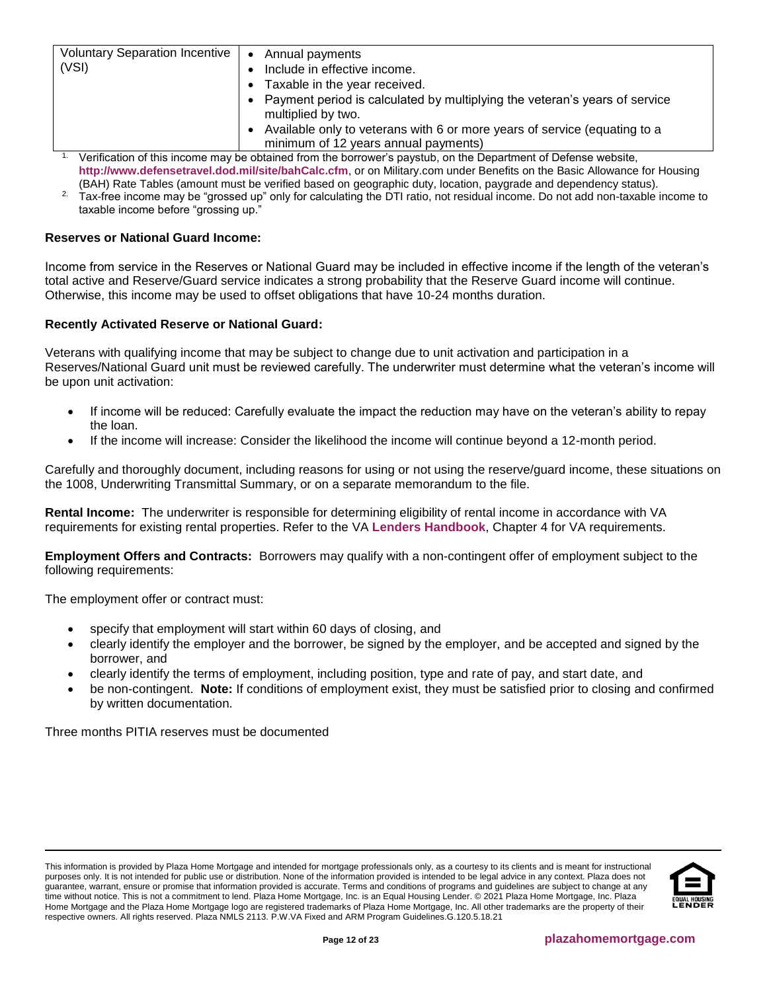| Voluntary Separation Incentive | Annual payments<br>$\bullet$                                                                                      |
|--------------------------------|-------------------------------------------------------------------------------------------------------------------|
| (VSI)                          | Include in effective income.                                                                                      |
|                                | Taxable in the year received.<br>$\bullet$                                                                        |
|                                | • Payment period is calculated by multiplying the veteran's years of service<br>multiplied by two.                |
|                                | Available only to veterans with 6 or more years of service (equating to a<br>minimum of 12 years annual payments) |

<sup>1.</sup> Verification of this income may be obtained from the borrower's paystub, on the Department of Defense website, **<http://www.defensetravel.dod.mil/site/bahCalc.cfm>**, or on Military.com under Benefits on the Basic Allowance for Housing (BAH) Rate Tables (amount must be verified based on geographic duty, location, paygrade and dependency status).

 $2.$  Tax-free income may be "grossed up" only for calculating the DTI ratio, not residual income. Do not add non-taxable income to taxable income before "grossing up."

# **Reserves or National Guard Income:**

Income from service in the Reserves or National Guard may be included in effective income if the length of the veteran's total active and Reserve/Guard service indicates a strong probability that the Reserve Guard income will continue. Otherwise, this income may be used to offset obligations that have 10-24 months duration.

## **Recently Activated Reserve or National Guard:**

Veterans with qualifying income that may be subject to change due to unit activation and participation in a Reserves/National Guard unit must be reviewed carefully. The underwriter must determine what the veteran's income will be upon unit activation:

- If income will be reduced: Carefully evaluate the impact the reduction may have on the veteran's ability to repay the loan.
- If the income will increase: Consider the likelihood the income will continue beyond a 12-month period.

Carefully and thoroughly document, including reasons for using or not using the reserve/guard income, these situations on the 1008, Underwriting Transmittal Summary, or on a separate memorandum to the file.

**Rental Income:** The underwriter is responsible for determining eligibility of rental income in accordance with VA requirements for existing rental properties. Refer to the VA **Lenders [Handbook](http://www.benefits.va.gov/warms/pam26_7.asp)**, Chapter 4 for VA requirements.

**Employment Offers and Contracts:** Borrowers may qualify with a non-contingent offer of employment subject to the following requirements:

The employment offer or contract must:

- specify that employment will start within 60 days of closing, and
- clearly identify the employer and the borrower, be signed by the employer, and be accepted and signed by the borrower, and
- clearly identify the terms of employment, including position, type and rate of pay, and start date, and
- be non-contingent. **Note:** If conditions of employment exist, they must be satisfied prior to closing and confirmed by written documentation.

Three months PITIA reserves must be documented

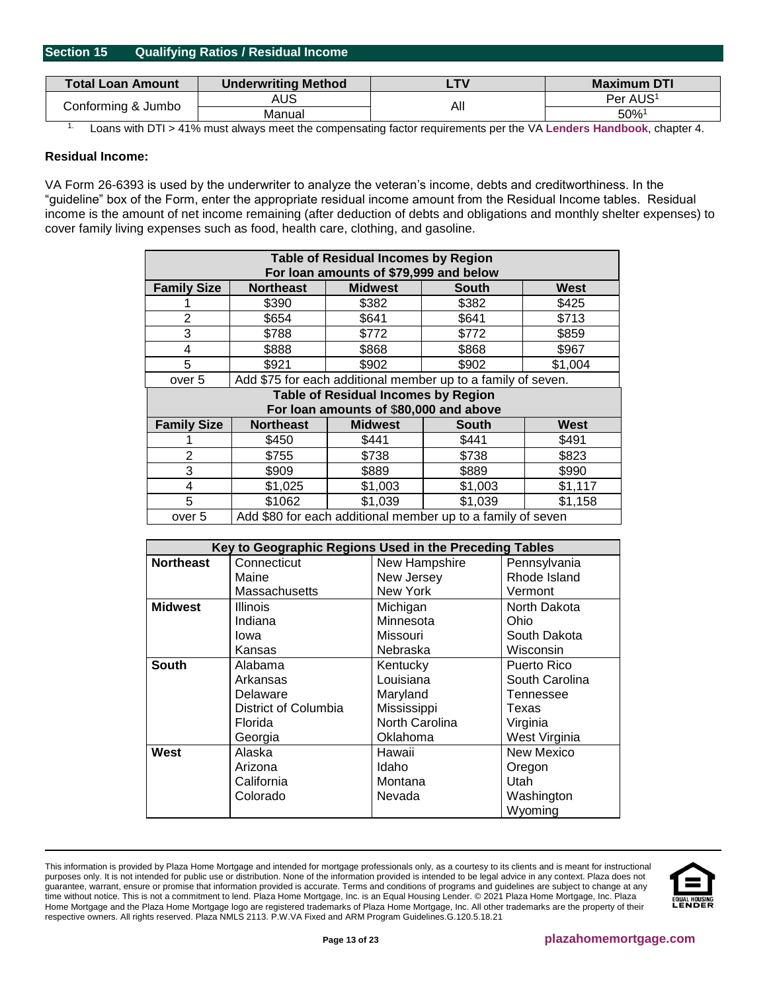## <span id="page-12-0"></span>**Section 15 Qualifying Ratios / Residual Income**

| <b>Total Loan Amount</b> | <b>Underwriting Method</b> | TV  | <b>Maximum DTI</b>   |
|--------------------------|----------------------------|-----|----------------------|
| Conforming & Jumbo       | AUS                        | All | Per AUS <sup>1</sup> |
|                          | Manual                     |     | 50%                  |

1. Loans with DTI > 41% must always meet the compensating factor requirements per the VA **Lenders [Handbook](http://www.benefits.va.gov/warms/pam26_7.asp)**, chapter 4.

## **Residual Income:**

[VA Form 26-6393](http://www.vba.va.gov/pubs/forms/VBA-26-6393-ARE.pdf) is used by the underwriter to analyze the veteran's income, debts and creditworthiness. In the "guideline" box of the Form, enter the appropriate residual income amount from the Residual Income tables. Residual income is the amount of net income remaining (after deduction of debts and obligations and monthly shelter expenses) to cover family living expenses such as food, health care, clothing, and gasoline.

| <b>Table of Residual Incomes by Region</b> |                                                                       |                                        |                                                              |         |  |  |
|--------------------------------------------|-----------------------------------------------------------------------|----------------------------------------|--------------------------------------------------------------|---------|--|--|
|                                            | For loan amounts of \$79,999 and below                                |                                        |                                                              |         |  |  |
| <b>Family Size</b>                         | <b>Midwest</b><br><b>Northeast</b><br>West<br><b>South</b>            |                                        |                                                              |         |  |  |
|                                            | \$390                                                                 | \$382                                  | \$382                                                        | \$425   |  |  |
| $\overline{2}$                             | \$654                                                                 | \$641                                  | \$641                                                        | \$713   |  |  |
| 3                                          | \$788                                                                 | \$772                                  | \$772                                                        | \$859   |  |  |
| 4                                          | \$888                                                                 | \$868                                  | \$868                                                        | \$967   |  |  |
| 5                                          | \$921                                                                 | \$902                                  | \$902                                                        | \$1,004 |  |  |
| over 5                                     |                                                                       |                                        | Add \$75 for each additional member up to a family of seven. |         |  |  |
|                                            | <b>Table of Residual Incomes by Region</b>                            |                                        |                                                              |         |  |  |
|                                            |                                                                       | For loan amounts of \$80,000 and above |                                                              |         |  |  |
| <b>Family Size</b>                         | <b>Northeast</b>                                                      | <b>Midwest</b>                         | South                                                        | West    |  |  |
|                                            | \$450                                                                 | \$441                                  | \$441                                                        | \$491   |  |  |
| $\overline{2}$                             | \$755                                                                 | \$738                                  | \$738                                                        | \$823   |  |  |
| 3                                          | \$909                                                                 | \$889                                  | \$889                                                        | \$990   |  |  |
| 4                                          | \$1,025                                                               | \$1,003                                | \$1,003                                                      | \$1,117 |  |  |
| 5                                          | \$1062                                                                | \$1,039                                | \$1,039                                                      | \$1,158 |  |  |
|                                            | Add \$80 for each additional member up to a family of seven<br>over 5 |                                        |                                                              |         |  |  |

|                  | Key to Geographic Regions Used in the Preceding Tables |                |                |  |  |
|------------------|--------------------------------------------------------|----------------|----------------|--|--|
| <b>Northeast</b> | Connecticut                                            | New Hampshire  | Pennsylvania   |  |  |
|                  | Maine                                                  | New Jersey     | Rhode Island   |  |  |
|                  | Massachusetts                                          | New York       | Vermont        |  |  |
| <b>Midwest</b>   | <b>Illinois</b>                                        | Michigan       | North Dakota   |  |  |
|                  | Indiana                                                | Minnesota      | Ohio           |  |  |
|                  | lowa                                                   | Missouri       | South Dakota   |  |  |
|                  | Kansas                                                 | Nebraska       | Wisconsin      |  |  |
| <b>South</b>     | Alabama                                                | Kentucky       | Puerto Rico    |  |  |
|                  | Arkansas                                               | Louisiana      | South Carolina |  |  |
|                  | Delaware                                               | Maryland       | Tennessee      |  |  |
|                  | District of Columbia                                   | Mississippi    | Texas          |  |  |
|                  | Florida                                                | North Carolina | Virginia       |  |  |
|                  | Georgia                                                | Oklahoma       | West Virginia  |  |  |
| West             | Alaska                                                 | Hawaii         | New Mexico     |  |  |
|                  | Arizona                                                | Idaho          | Oregon         |  |  |
|                  | California                                             | Montana        | Utah           |  |  |
|                  | Colorado                                               | Nevada         | Washington     |  |  |
|                  |                                                        |                | Wyoming        |  |  |

This information is provided by Plaza Home Mortgage and intended for mortgage professionals only, as a courtesy to its clients and is meant for instructional purposes only. It is not intended for public use or distribution. None of the information provided is intended to be legal advice in any context. Plaza does not guarantee, warrant, ensure or promise that information provided is accurate. Terms and conditions of programs and guidelines are subject to change at any time without notice. This is not a commitment to lend. Plaza Home Mortgage, Inc. is an Equal Housing Lender. © 2021 Plaza Home Mortgage, Inc. Plaza Home Mortgage and the Plaza Home Mortgage logo are registered trademarks of Plaza Home Mortgage, Inc. All other trademarks are the property of their respective owners. All rights reserved. Plaza NMLS 2113. P.W.VA Fixed and ARM Program Guidelines.G.120.5.18.21

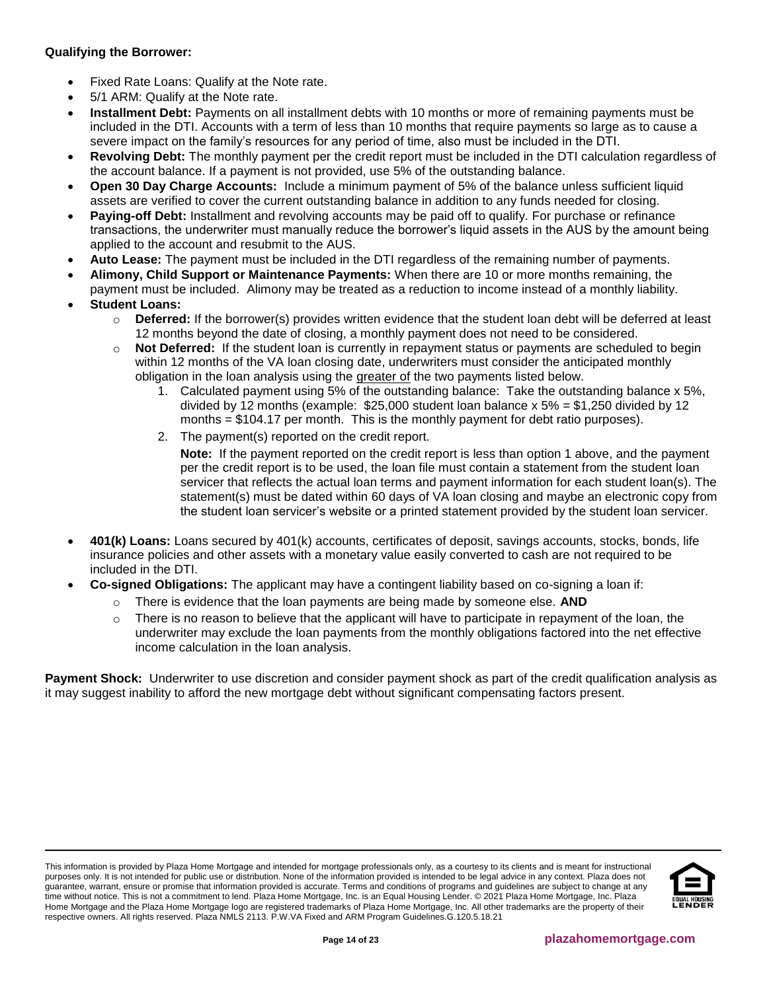# **Qualifying the Borrower:**

- Fixed Rate Loans: Qualify at the Note rate.
- 5/1 ARM: Qualify at the Note rate.
- **Installment Debt:** Payments on all installment debts with 10 months or more of remaining payments must be included in the DTI. Accounts with a term of less than 10 months that require payments so large as to cause a severe impact on the family's resources for any period of time, also must be included in the DTI.
- **Revolving Debt:** The monthly payment per the credit report must be included in the DTI calculation regardless of the account balance. If a payment is not provided, use 5% of the outstanding balance.
- **Open 30 Day Charge Accounts:** Include a minimum payment of 5% of the balance unless sufficient liquid assets are verified to cover the current outstanding balance in addition to any funds needed for closing.
- **Paying-off Debt:** Installment and revolving accounts may be paid off to qualify. For purchase or refinance transactions, the underwriter must manually reduce the borrower's liquid assets in the AUS by the amount being applied to the account and resubmit to the AUS.
- **Auto Lease:** The payment must be included in the DTI regardless of the remaining number of payments.
- **Alimony, Child Support or Maintenance Payments:** When there are 10 or more months remaining, the payment must be included. Alimony may be treated as a reduction to income instead of a monthly liability.
- **Student Loans:**
	- o **Deferred:** If the borrower(s) provides written evidence that the student loan debt will be deferred at least 12 months beyond the date of closing, a monthly payment does not need to be considered.
	- o **Not Deferred:** If the student loan is currently in repayment status or payments are scheduled to begin within 12 months of the VA loan closing date, underwriters must consider the anticipated monthly obligation in the loan analysis using the greater of the two payments listed below.
		- 1. Calculated payment using 5% of the outstanding balance: Take the outstanding balance x 5%, divided by 12 months (example:  $$25,000$  student loan balance x  $5\% = $1,250$  divided by 12 months = \$104.17 per month. This is the monthly payment for debt ratio purposes).
		- 2. The payment(s) reported on the credit report.

**Note:** If the payment reported on the credit report is less than option 1 above, and the payment per the credit report is to be used, the loan file must contain a statement from the student loan servicer that reflects the actual loan terms and payment information for each student loan(s). The statement(s) must be dated within 60 days of VA loan closing and maybe an electronic copy from the student loan servicer's website or a printed statement provided by the student loan servicer.

- **401(k) Loans:** Loans secured by 401(k) accounts, certificates of deposit, savings accounts, stocks, bonds, life insurance policies and other assets with a monetary value easily converted to cash are not required to be included in the DTI.
- **Co-signed Obligations:** The applicant may have a contingent liability based on co-signing a loan if:
	- o There is evidence that the loan payments are being made by someone else. **AND**
	- $\circ$  There is no reason to believe that the applicant will have to participate in repayment of the loan, the underwriter may exclude the loan payments from the monthly obligations factored into the net effective income calculation in the loan analysis.

**Payment Shock:** Underwriter to use discretion and consider payment shock as part of the credit qualification analysis as it may suggest inability to afford the new mortgage debt without significant compensating factors present.

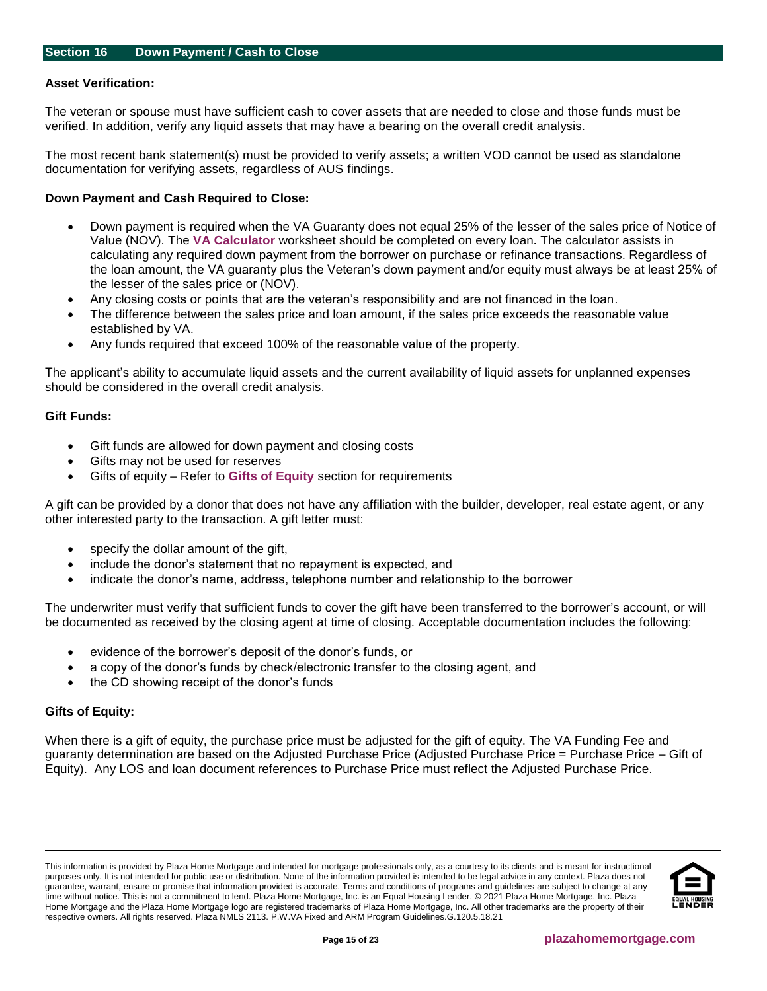#### <span id="page-14-0"></span>**Asset Verification:**

The veteran or spouse must have sufficient cash to cover assets that are needed to close and those funds must be verified. In addition, verify any liquid assets that may have a bearing on the overall credit analysis.

The most recent bank statement(s) must be provided to verify assets; a written VOD cannot be used as standalone documentation for verifying assets, regardless of AUS findings.

#### **Down Payment and Cash Required to Close:**

- Down payment is required when the VA Guaranty does not equal 25% of the lesser of the sales price of Notice of Value (NOV). The **[VA Calculator](http://resourcecenter.plazahomemortgage.com/phmidocpublisher.nsf/All/7AC0B2AC1E2F276107257AF5006957B2?OpenDocument)** worksheet should be completed on every loan. The calculator assists in calculating any required down payment from the borrower on purchase or refinance transactions. Regardless of the loan amount, the VA guaranty plus the Veteran's down payment and/or equity must always be at least 25% of the lesser of the sales price or (NOV).
- Any closing costs or points that are the veteran's responsibility and are not financed in the loan.
- The difference between the sales price and loan amount, if the sales price exceeds the reasonable value established by VA.
- Any funds required that exceed 100% of the reasonable value of the property.

The applicant's ability to accumulate liquid assets and the current availability of liquid assets for unplanned expenses should be considered in the overall credit analysis.

#### **Gift Funds:**

- Gift funds are allowed for down payment and closing costs
- Gifts may not be used for reserves
- Gifts of equity Refer to **[Gifts of Equity](#page-14-1)** section for requirements

A gift can be provided by a donor that does not have any affiliation with the builder, developer, real estate agent, or any other interested party to the transaction. A gift letter must:

- specify the dollar amount of the gift,
- include the donor's statement that no repayment is expected, and
- indicate the donor's name, address, telephone number and relationship to the borrower

The underwriter must verify that sufficient funds to cover the gift have been transferred to the borrower's account, or will be documented as received by the closing agent at time of closing. Acceptable documentation includes the following:

- evidence of the borrower's deposit of the donor's funds, or
- a copy of the donor's funds by check/electronic transfer to the closing agent, and
- the CD showing receipt of the donor's funds

#### <span id="page-14-1"></span>**Gifts of Equity:**

When there is a gift of equity, the purchase price must be adjusted for the gift of equity. The VA Funding Fee and guaranty determination are based on the Adjusted Purchase Price (Adjusted Purchase Price = Purchase Price – Gift of Equity). Any LOS and loan document references to Purchase Price must reflect the Adjusted Purchase Price.

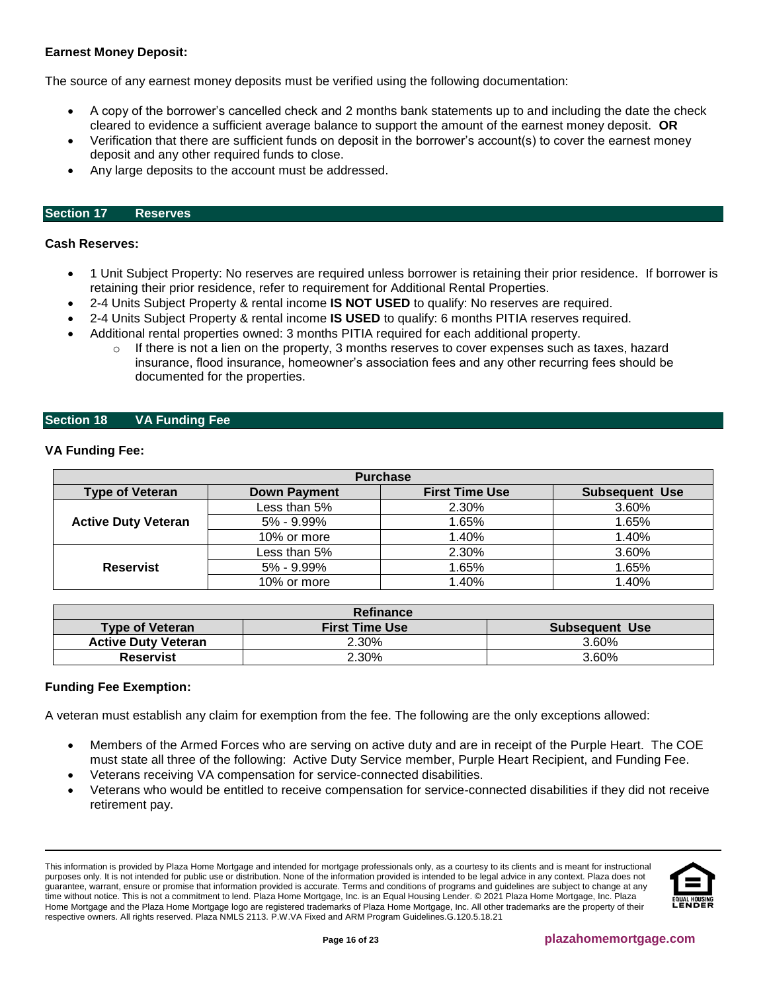# **Earnest Money Deposit:**

The source of any earnest money deposits must be verified using the following documentation:

- A copy of the borrower's cancelled check and 2 months bank statements up to and including the date the check cleared to evidence a sufficient average balance to support the amount of the earnest money deposit. **OR**
- Verification that there are sufficient funds on deposit in the borrower's account(s) to cover the earnest money deposit and any other required funds to close.
- Any large deposits to the account must be addressed.

#### <span id="page-15-0"></span>**Section 17 Reserves**

#### **Cash Reserves:**

- 1 Unit Subject Property: No reserves are required unless borrower is retaining their prior residence. If borrower is retaining their prior residence, refer to requirement for Additional Rental Properties.
- 2-4 Units Subject Property & rental income **IS NOT USED** to qualify: No reserves are required.
- 2-4 Units Subject Property & rental income **IS USED** to qualify: 6 months PITIA reserves required.
- Additional rental properties owned: 3 months PITIA required for each additional property.
	- $\circ$  If there is not a lien on the property, 3 months reserves to cover expenses such as taxes, hazard insurance, flood insurance, homeowner's association fees and any other recurring fees should be documented for the properties.

# <span id="page-15-1"></span>**Section 18 VA Funding Fee**

#### **VA Funding Fee:**

| <b>Purchase</b>            |                     |                       |                       |  |  |
|----------------------------|---------------------|-----------------------|-----------------------|--|--|
| <b>Type of Veteran</b>     | <b>Down Payment</b> | <b>First Time Use</b> | <b>Subsequent Use</b> |  |  |
|                            | Less than 5%        | 2.30%                 | 3.60%                 |  |  |
| <b>Active Duty Veteran</b> | $5\% - 9.99\%$      | 1.65%                 | 1.65%                 |  |  |
|                            | 10% or more         | 1.40%                 | 1.40%                 |  |  |
|                            | Less than 5%        | 2.30%                 | 3.60%                 |  |  |
| <b>Reservist</b>           | $5\% - 9.99\%$      | 1.65%                 | 1.65%                 |  |  |
|                            | 10% or more         | 1.40%                 | 1.40%                 |  |  |

| Refinance                  |                       |                       |  |  |
|----------------------------|-----------------------|-----------------------|--|--|
| <b>Type of Veteran</b>     | <b>First Time Use</b> | <b>Subsequent Use</b> |  |  |
| <b>Active Duty Veteran</b> | 2.30%                 | 3.60%                 |  |  |
| <b>Reservist</b>           | 2.30%                 | 3.60%                 |  |  |

## **Funding Fee Exemption:**

A veteran must establish any claim for exemption from the fee. The following are the only exceptions allowed:

- Members of the Armed Forces who are serving on active duty and are in receipt of the Purple Heart. The COE must state all three of the following: Active Duty Service member, Purple Heart Recipient, and Funding Fee.
- Veterans receiving VA compensation for service-connected disabilities.
- Veterans who would be entitled to receive compensation for service-connected disabilities if they did not receive retirement pay.

This information is provided by Plaza Home Mortgage and intended for mortgage professionals only, as a courtesy to its clients and is meant for instructional purposes only. It is not intended for public use or distribution. None of the information provided is intended to be legal advice in any context. Plaza does not guarantee, warrant, ensure or promise that information provided is accurate. Terms and conditions of programs and guidelines are subject to change at any time without notice. This is not a commitment to lend. Plaza Home Mortgage, Inc. is an Equal Housing Lender. © 2021 Plaza Home Mortgage, Inc. Plaza Home Mortgage and the Plaza Home Mortgage logo are registered trademarks of Plaza Home Mortgage, Inc. All other trademarks are the property of their respective owners. All rights reserved. Plaza NMLS 2113. P.W.VA Fixed and ARM Program Guidelines.G.120.5.18.21

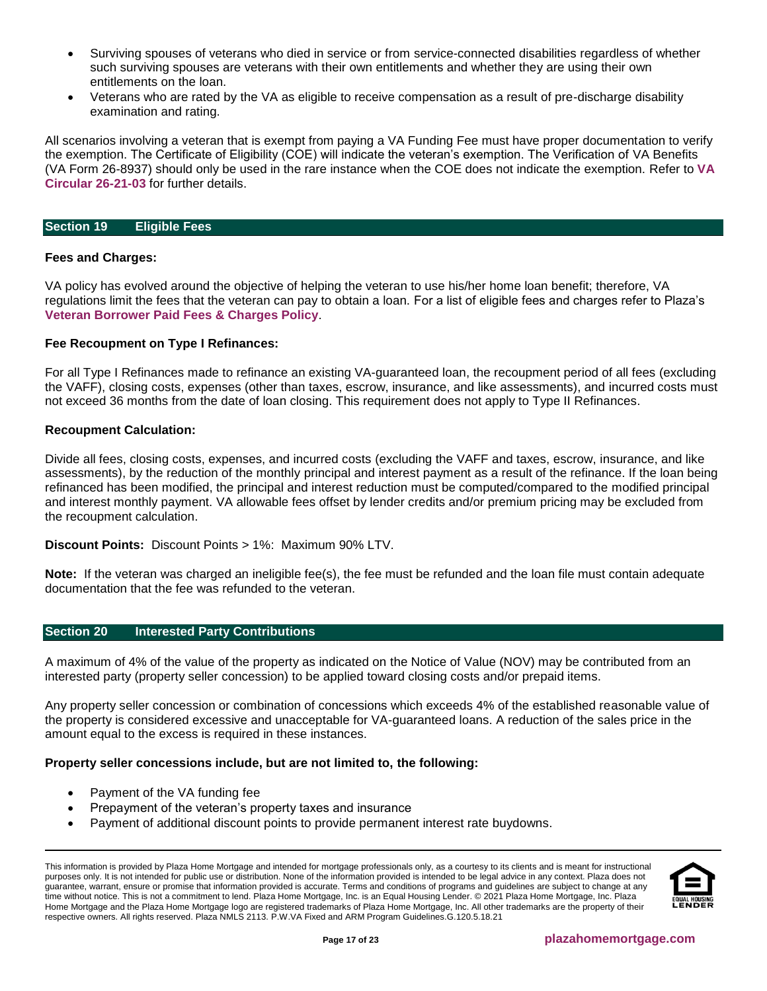- Surviving spouses of veterans who died in service or from service-connected disabilities regardless of whether such surviving spouses are veterans with their own entitlements and whether they are using their own entitlements on the loan.
- Veterans who are rated by the VA as eligible to receive compensation as a result of pre-discharge disability examination and rating.

All scenarios involving a veteran that is exempt from paying a VA Funding Fee must have proper documentation to verify the exemption. The Certificate of Eligibility (COE) will indicate the veteran's exemption. The Verification of VA Benefits (VA Form 26-8937) should only be used in the rare instance when the COE does not indicate the exemption. Refer to **[VA](https://www.benefits.va.gov/HOMELOANS/documents/circulars/26_21_03.pdf)  [Circular 26-21-03](https://www.benefits.va.gov/HOMELOANS/documents/circulars/26_21_03.pdf)** for further details.

#### <span id="page-16-0"></span>**Section 19 Eligible Fees**

## **Fees and Charges:**

VA policy has evolved around the objective of helping the veteran to use his/her home loan benefit; therefore, VA regulations limit the fees that the veteran can pay to obtain a loan. For a list of eligible fees and charges refer to Plaza's **[Veteran Borrower Paid Fees & Charges Policy](http://resourcecenter.plazahomemortgage.com/phmidocpublisher.nsf/All/7219FDEE937E729B07257E8B005CF684?OpenDocument)**.

#### **Fee Recoupment on Type I Refinances:**

For all Type I Refinances made to refinance an existing VA-guaranteed loan, the recoupment period of all fees (excluding the VAFF), closing costs, expenses (other than taxes, escrow, insurance, and like assessments), and incurred costs must not exceed 36 months from the date of loan closing. This requirement does not apply to Type II Refinances.

#### **Recoupment Calculation:**

Divide all fees, closing costs, expenses, and incurred costs (excluding the VAFF and taxes, escrow, insurance, and like assessments), by the reduction of the monthly principal and interest payment as a result of the refinance. If the loan being refinanced has been modified, the principal and interest reduction must be computed/compared to the modified principal and interest monthly payment. VA allowable fees offset by lender credits and/or premium pricing may be excluded from the recoupment calculation.

**Discount Points:** Discount Points > 1%: Maximum 90% LTV.

**Note:** If the veteran was charged an ineligible fee(s), the fee must be refunded and the loan file must contain adequate documentation that the fee was refunded to the veteran.

#### <span id="page-16-1"></span>**Section 20 Interested Party Contributions**

A maximum of 4% of the value of the property as indicated on the Notice of Value (NOV) may be contributed from an interested party (property seller concession) to be applied toward closing costs and/or prepaid items.

Any property seller concession or combination of concessions which exceeds 4% of the established reasonable value of the property is considered excessive and unacceptable for VA-guaranteed loans. A reduction of the sales price in the amount equal to the excess is required in these instances.

## **Property seller concessions include, but are not limited to, the following:**

- Payment of the VA funding fee
- Prepayment of the veteran's property taxes and insurance
- Payment of additional discount points to provide permanent interest rate buydowns.

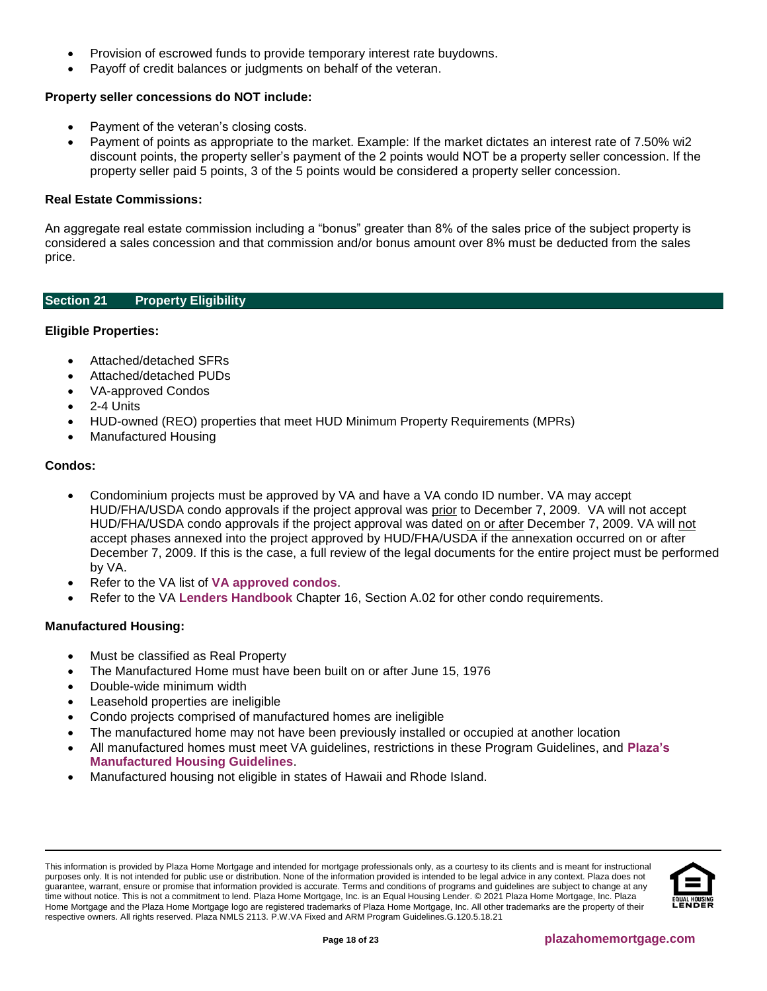- Provision of escrowed funds to provide temporary interest rate buydowns.
- Payoff of credit balances or judgments on behalf of the veteran.

# **Property seller concessions do NOT include:**

- Payment of the veteran's closing costs.
- Payment of points as appropriate to the market. Example: If the market dictates an interest rate of 7.50% wi2 discount points, the property seller's payment of the 2 points would NOT be a property seller concession. If the property seller paid 5 points, 3 of the 5 points would be considered a property seller concession.

# **Real Estate Commissions:**

An aggregate real estate commission including a "bonus" greater than 8% of the sales price of the subject property is considered a sales concession and that commission and/or bonus amount over 8% must be deducted from the sales price.

# <span id="page-17-0"></span>**Section 21 Property Eligibility**

# **Eligible Properties:**

- Attached/detached SFRs
- Attached/detached PUDs
- VA-approved Condos
- 2-4 Units
- HUD-owned (REO) properties that meet HUD Minimum Property Requirements (MPRs)
- Manufactured Housing

# **Condos:**

- Condominium projects must be approved by VA and have a VA condo ID number. VA may accept HUD/FHA/USDA condo approvals if the project approval was prior to December 7, 2009. VA will not accept HUD/FHA/USDA condo approvals if the project approval was dated on or after December 7, 2009. VA will not accept phases annexed into the project approved by HUD/FHA/USDA if the annexation occurred on or after December 7, 2009. If this is the case, a full review of the legal documents for the entire project must be performed by VA.
- Refer to the VA list of **[VA approved condos](https://vip.vba.va.gov/portal/VBAH/Home/home)**.
- Refer to the VA **Lenders [Handbook](http://www.benefits.va.gov/warms/pam26_7.asp)** Chapter 16, Section A.02 for other condo requirements.

# **Manufactured Housing:**

- Must be classified as Real Property
- The Manufactured Home must have been built on or after June 15, 1976
- Double-wide minimum width
- Leasehold properties are ineligible
- Condo projects comprised of manufactured homes are ineligible
- The manufactured home may not have been previously installed or occupied at another location
- All manufactured homes must meet VA guidelines, restrictions in these Program Guidelines, and **[Plaza's](https://resourcecenter.plazahomemortgage.com/phmidocpublisher.nsf/All/F80CDE97BD14D52C8825805A00682B1E?OpenDocument&STATUS=PUBLISHED)  [Manufactured Housing Guidelines](https://resourcecenter.plazahomemortgage.com/phmidocpublisher.nsf/All/F80CDE97BD14D52C8825805A00682B1E?OpenDocument&STATUS=PUBLISHED)**.
- Manufactured housing not eligible in states of Hawaii and Rhode Island.



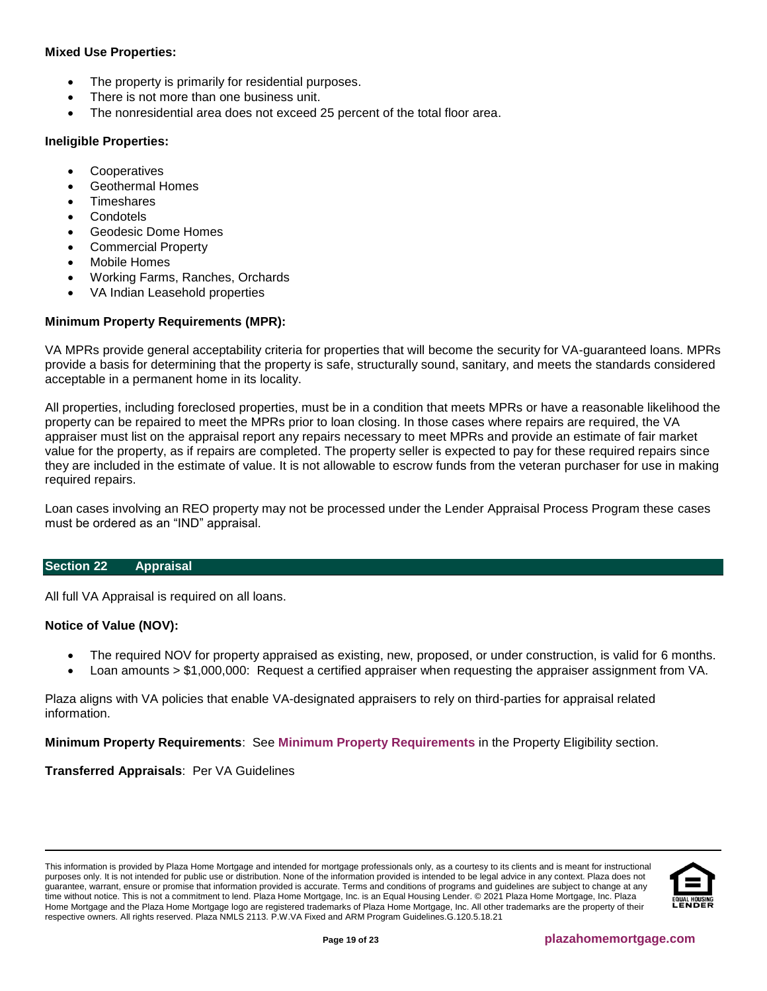# **Mixed Use Properties:**

- The property is primarily for residential purposes.
- There is not more than one business unit.
- The nonresidential area does not exceed 25 percent of the total floor area.

## **Ineligible Properties:**

- **Cooperatives**
- Geothermal Homes
- **Timeshares**
- **Condotels**
- Geodesic Dome Homes
- Commercial Property
- **Mobile Homes**
- Working Farms, Ranches, Orchards
- VA Indian Leasehold properties

# <span id="page-18-1"></span>**Minimum Property Requirements (MPR):**

VA MPRs provide general acceptability criteria for properties that will become the security for VA-guaranteed loans. MPRs provide a basis for determining that the property is safe, structurally sound, sanitary, and meets the standards considered acceptable in a permanent home in its locality.

All properties, including foreclosed properties, must be in a condition that meets MPRs or have a reasonable likelihood the property can be repaired to meet the MPRs prior to loan closing. In those cases where repairs are required, the VA appraiser must list on the appraisal report any repairs necessary to meet MPRs and provide an estimate of fair market value for the property, as if repairs are completed. The property seller is expected to pay for these required repairs since they are included in the estimate of value. It is not allowable to escrow funds from the veteran purchaser for use in making required repairs.

Loan cases involving an REO property may not be processed under the Lender Appraisal Process Program these cases must be ordered as an "IND" appraisal.

## <span id="page-18-0"></span>**Section 22 Appraisal**

All full VA Appraisal is required on all loans.

## **Notice of Value (NOV):**

- The required NOV for property appraised as existing, new, proposed, or under construction, is valid for 6 months.
- Loan amounts > \$1,000,000: Request a certified appraiser when requesting the appraiser assignment from VA.

Plaza aligns with VA policies that enable VA-designated appraisers to rely on third-parties for appraisal related information.

**Minimum Property Requirements**: See **[Minimum Property Requirements](#page-18-1)** in the Property Eligibility section.

**Transferred Appraisals**: Per VA Guidelines

This information is provided by Plaza Home Mortgage and intended for mortgage professionals only, as a courtesy to its clients and is meant for instructional purposes only. It is not intended for public use or distribution. None of the information provided is intended to be legal advice in any context. Plaza does not guarantee, warrant, ensure or promise that information provided is accurate. Terms and conditions of programs and guidelines are subject to change at any time without notice. This is not a commitment to lend. Plaza Home Mortgage, Inc. is an Equal Housing Lender. © 2021 Plaza Home Mortgage, Inc. Plaza Home Mortgage and the Plaza Home Mortgage logo are registered trademarks of Plaza Home Mortgage, Inc. All other trademarks are the property of their respective owners. All rights reserved. Plaza NMLS 2113. P.W.VA Fixed and ARM Program Guidelines.G.120.5.18.21

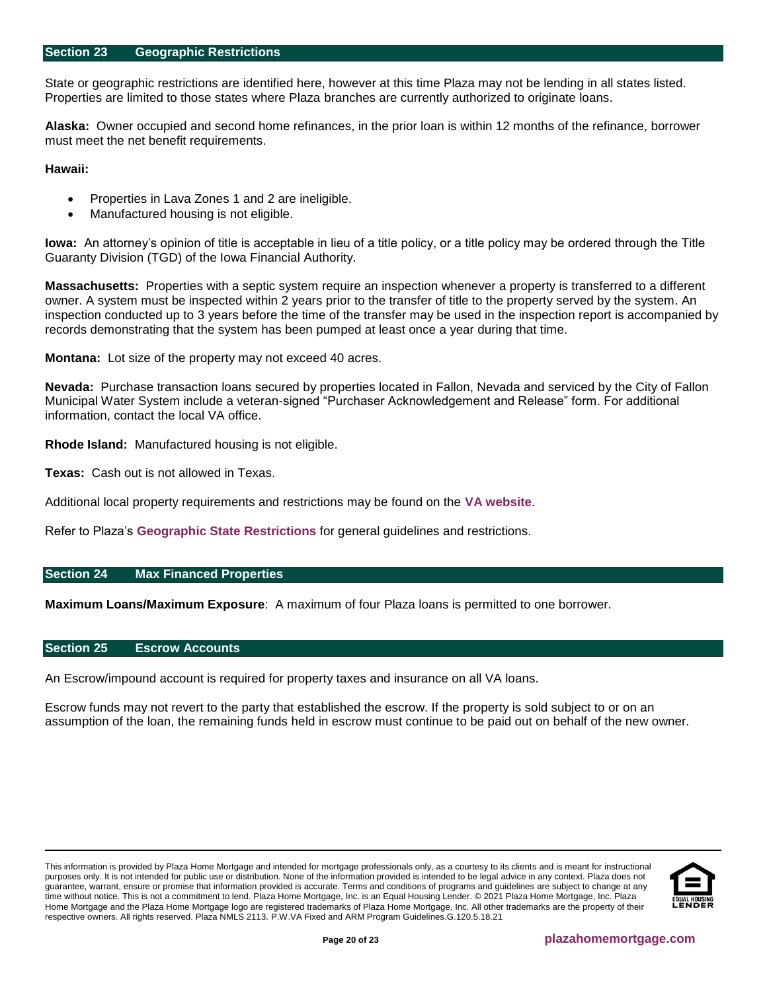#### <span id="page-19-0"></span>**Section 23 Geographic Restrictions**

State or geographic restrictions are identified here, however at this time Plaza may not be lending in all states listed. Properties are limited to those states where Plaza branches are currently authorized to originate loans.

**Alaska:** Owner occupied and second home refinances, in the prior loan is within 12 months of the refinance, borrower must meet the net benefit requirements.

**Hawaii:**

- Properties in Lava Zones 1 and 2 are ineligible.
- Manufactured housing is not eligible.

**Iowa:** An attorney's opinion of title is acceptable in lieu of a title policy, or a title policy may be ordered through the Title Guaranty Division (TGD) of the Iowa Financial Authority.

**Massachusetts:** Properties with a septic system require an inspection whenever a property is transferred to a different owner. A system must be inspected within 2 years prior to the transfer of title to the property served by the system. An inspection conducted up to 3 years before the time of the transfer may be used in the inspection report is accompanied by records demonstrating that the system has been pumped at least once a year during that time.

**Montana:** Lot size of the property may not exceed 40 acres.

**Nevada:** Purchase transaction loans secured by properties located in Fallon, Nevada and serviced by the City of Fallon Municipal Water System include a veteran-signed "Purchaser Acknowledgement and Release" form. For additional information, contact the local VA office.

**Rhode Island:** Manufactured housing is not eligible.

**Texas:** Cash out is not allowed in Texas.

Additional local property requirements and restrictions may be found on the **[VA website](http://www.benefits.va.gov/homeloans/cav_approved_local_conditions.asp)**.

Refer to Plaza's **[Geographic State Restrictions](http://resourcecenter.plazahomemortgage.com/phmidocpublisher.nsf/All/4D05932DD7438704072579D8007C12D7?OpenDocument)** for general guidelines and restrictions.

#### <span id="page-19-1"></span>**Section 24 Max Financed Properties**

**Maximum Loans/Maximum Exposure**: A maximum of four Plaza loans is permitted to one borrower.

#### <span id="page-19-2"></span>**Section 25 Escrow Accounts**

An Escrow/impound account is required for property taxes and insurance on all VA loans.

Escrow funds may not revert to the party that established the escrow. If the property is sold subject to or on an assumption of the loan, the remaining funds held in escrow must continue to be paid out on behalf of the new owner.

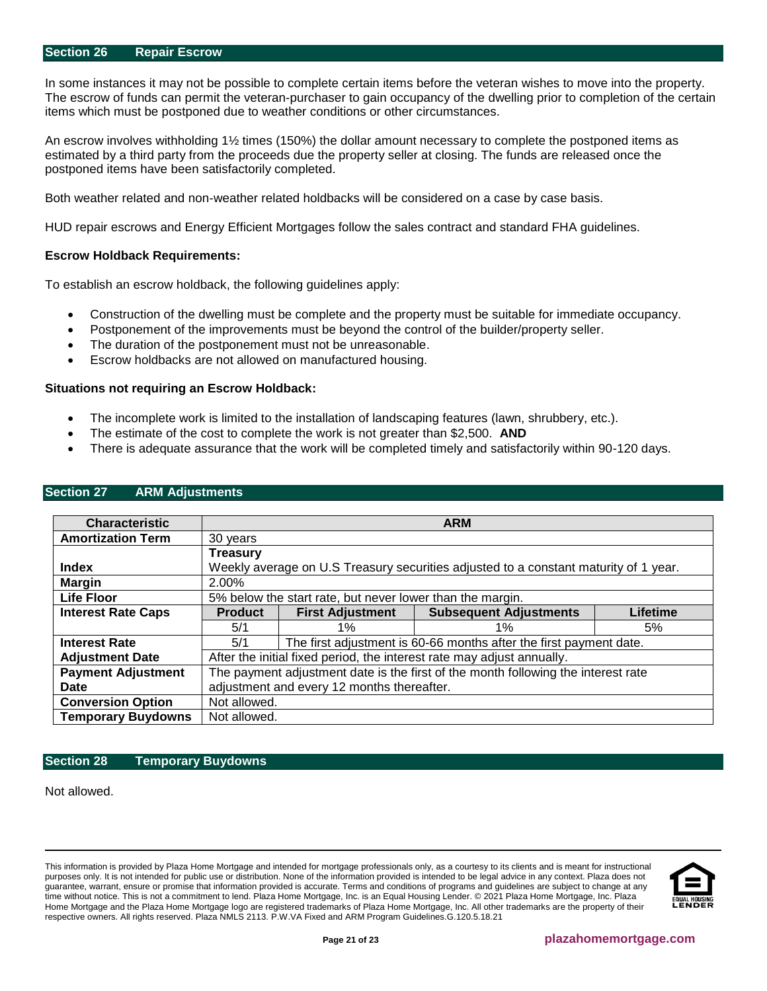#### <span id="page-20-0"></span>**Section 26 Repair Escrow**

In some instances it may not be possible to complete certain items before the veteran wishes to move into the property. The escrow of funds can permit the veteran-purchaser to gain occupancy of the dwelling prior to completion of the certain items which must be postponed due to weather conditions or other circumstances.

An escrow involves withholding 1½ times (150%) the dollar amount necessary to complete the postponed items as estimated by a third party from the proceeds due the property seller at closing. The funds are released once the postponed items have been satisfactorily completed.

Both weather related and non-weather related holdbacks will be considered on a case by case basis.

HUD repair escrows and Energy Efficient Mortgages follow the sales contract and standard FHA guidelines.

#### **Escrow Holdback Requirements:**

To establish an escrow holdback, the following guidelines apply:

- Construction of the dwelling must be complete and the property must be suitable for immediate occupancy.
- Postponement of the improvements must be beyond the control of the builder/property seller.
- The duration of the postponement must not be unreasonable.
- Escrow holdbacks are not allowed on manufactured housing.

#### **Situations not requiring an Escrow Holdback:**

- The incomplete work is limited to the installation of landscaping features (lawn, shrubbery, etc.).
- The estimate of the cost to complete the work is not greater than \$2,500. **AND**
- There is adequate assurance that the work will be completed timely and satisfactorily within 90-120 days.

| <b>Characteristic</b>     | <b>ARM</b>                                                                           |                                                                    |                               |          |
|---------------------------|--------------------------------------------------------------------------------------|--------------------------------------------------------------------|-------------------------------|----------|
| <b>Amortization Term</b>  | 30 years                                                                             |                                                                    |                               |          |
|                           | <b>Treasury</b>                                                                      |                                                                    |                               |          |
| Index                     | Weekly average on U.S Treasury securities adjusted to a constant maturity of 1 year. |                                                                    |                               |          |
| <b>Margin</b>             | 2.00%                                                                                |                                                                    |                               |          |
| <b>Life Floor</b>         | 5% below the start rate, but never lower than the margin.                            |                                                                    |                               |          |
| <b>Interest Rate Caps</b> | <b>Product</b>                                                                       | <b>First Adjustment</b>                                            | <b>Subsequent Adjustments</b> | Lifetime |
|                           | 5/1                                                                                  | $1\%$                                                              | $1\%$                         | 5%       |
| <b>Interest Rate</b>      | 5/1                                                                                  | The first adjustment is 60-66 months after the first payment date. |                               |          |
| <b>Adjustment Date</b>    | After the initial fixed period, the interest rate may adjust annually.               |                                                                    |                               |          |
| <b>Payment Adjustment</b> | The payment adjustment date is the first of the month following the interest rate    |                                                                    |                               |          |
| Date                      | adjustment and every 12 months thereafter.                                           |                                                                    |                               |          |
| <b>Conversion Option</b>  | Not allowed.                                                                         |                                                                    |                               |          |
| <b>Temporary Buydowns</b> | Not allowed.                                                                         |                                                                    |                               |          |

# <span id="page-20-1"></span>**Section 27 ARM Adjustments**

#### <span id="page-20-2"></span>**Section 28 Temporary Buydowns**

Not allowed.

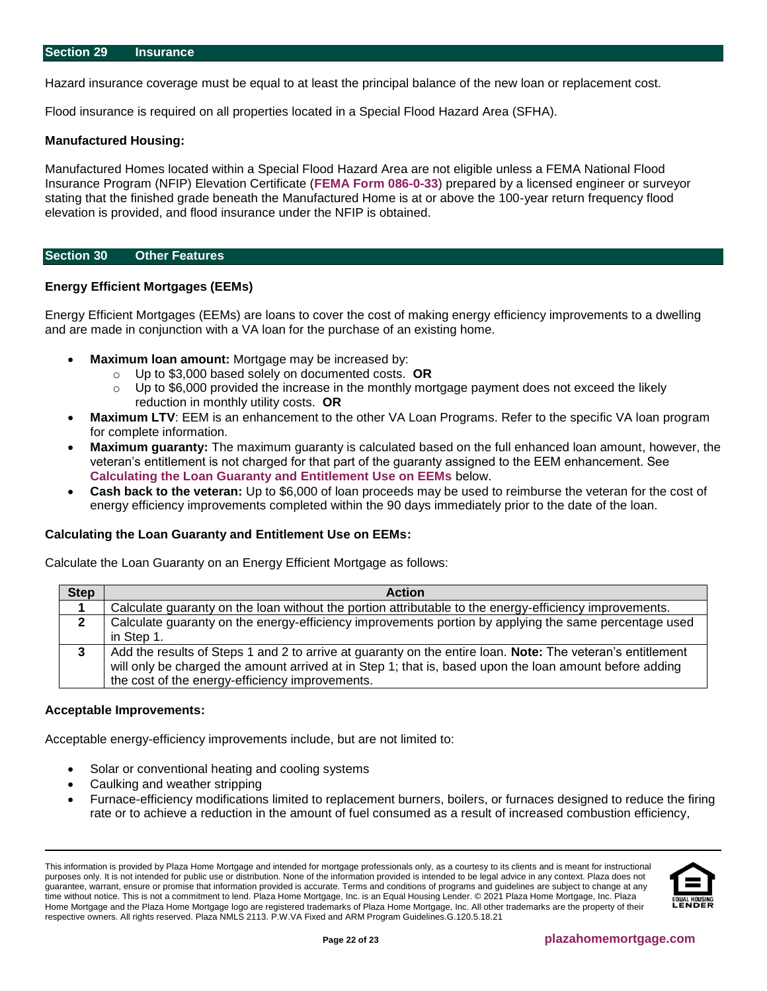<span id="page-21-0"></span>Hazard insurance coverage must be equal to at least the principal balance of the new loan or replacement cost.

Flood insurance is required on all properties located in a Special Flood Hazard Area (SFHA).

#### **Manufactured Housing:**

Manufactured Homes located within a Special Flood Hazard Area are not eligible unless a FEMA National Flood Insurance Program (NFIP) Elevation Certificate (**[FEMA Form 086-0-33](https://www.fema.gov/media-library/assets/documents/160)**) prepared by a licensed engineer or surveyor stating that the finished grade beneath the Manufactured Home is at or above the 100-year return frequency flood elevation is provided, and flood insurance under the NFIP is obtained.

#### <span id="page-21-1"></span>**Section 30 Other Features**

#### **Energy Efficient Mortgages (EEMs)**

Energy Efficient Mortgages (EEMs) are loans to cover the cost of making energy efficiency improvements to a dwelling and are made in conjunction with a VA loan for the purchase of an existing home.

- **Maximum loan amount:** Mortgage may be increased by:
	- o Up to \$3,000 based solely on documented costs. **OR**
	- $\circ$  Up to \$6,000 provided the increase in the monthly mortgage payment does not exceed the likely reduction in monthly utility costs. **OR**
- **Maximum LTV: EEM is an enhancement to the other VA Loan Programs. Refer to the specific VA loan program** for complete information.
- **Maximum guaranty:** The maximum guaranty is calculated based on the full enhanced loan amount, however, the veteran's entitlement is not charged for that part of the guaranty assigned to the EEM enhancement. See **Calculating the Loan Guaranty and Entitlement Use on EEMs** below.
- **Cash back to the veteran:** Up to \$6,000 of loan proceeds may be used to reimburse the veteran for the cost of energy efficiency improvements completed within the 90 days immediately prior to the date of the loan.

## **Calculating the Loan Guaranty and Entitlement Use on EEMs:**

Calculate the Loan Guaranty on an Energy Efficient Mortgage as follows:

| <b>Step</b> | <b>Action</b>                                                                                              |
|-------------|------------------------------------------------------------------------------------------------------------|
|             | Calculate guaranty on the loan without the portion attributable to the energy-efficiency improvements.     |
| 2           | Calculate guaranty on the energy-efficiency improvements portion by applying the same percentage used      |
|             | in Step 1.                                                                                                 |
|             | Add the results of Steps 1 and 2 to arrive at guaranty on the entire loan. Note: The veteran's entitlement |
|             | will only be charged the amount arrived at in Step 1; that is, based upon the loan amount before adding    |
|             | the cost of the energy-efficiency improvements.                                                            |

#### **Acceptable Improvements:**

Acceptable energy-efficiency improvements include, but are not limited to:

- Solar or conventional heating and cooling systems
- Caulking and weather stripping
- Furnace-efficiency modifications limited to replacement burners, boilers, or furnaces designed to reduce the firing rate or to achieve a reduction in the amount of fuel consumed as a result of increased combustion efficiency,

This information is provided by Plaza Home Mortgage and intended for mortgage professionals only, as a courtesy to its clients and is meant for instructional purposes only. It is not intended for public use or distribution. None of the information provided is intended to be legal advice in any context. Plaza does not guarantee, warrant, ensure or promise that information provided is accurate. Terms and conditions of programs and guidelines are subject to change at any time without notice. This is not a commitment to lend. Plaza Home Mortgage, Inc. is an Equal Housing Lender. © 2021 Plaza Home Mortgage, Inc. Plaza Home Mortgage and the Plaza Home Mortgage logo are registered trademarks of Plaza Home Mortgage, Inc. All other trademarks are the property of their respective owners. All rights reserved. Plaza NMLS 2113. P.W.VA Fixed and ARM Program Guidelines.G.120.5.18.21